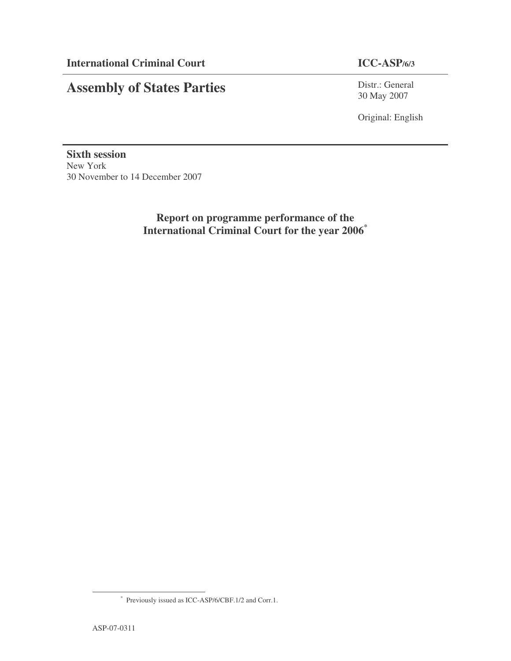# **Assembly of States Parties**

Distr.: General 30 May 2007

Original: English

**Sixth session** New York 30 November to 14 December 2007

> **Report on programme performance of the International Criminal Court for the year 2006 \***

<sup>\*</sup> Previously issued as ICC-ASP/6/CBF.1/2 and Corr.1.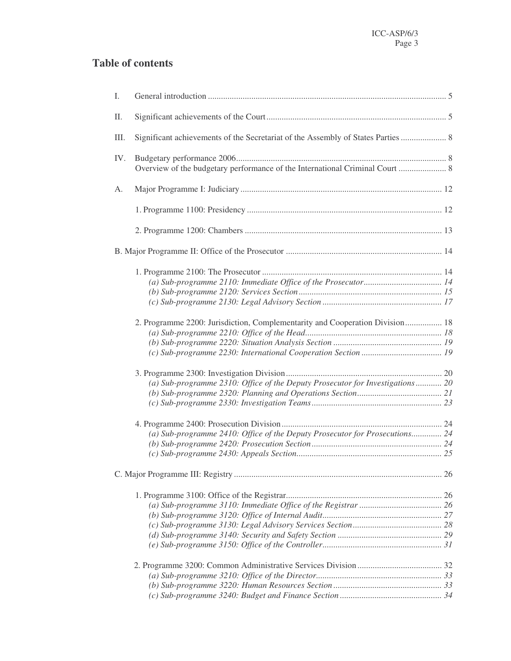# **Table of contents**

| I.  |                                                                               |  |
|-----|-------------------------------------------------------------------------------|--|
| П.  |                                                                               |  |
| Ш.  |                                                                               |  |
| IV. |                                                                               |  |
| A.  |                                                                               |  |
|     |                                                                               |  |
|     |                                                                               |  |
|     |                                                                               |  |
|     |                                                                               |  |
|     |                                                                               |  |
|     |                                                                               |  |
|     |                                                                               |  |
|     | 2. Programme 2200: Jurisdiction, Complementarity and Cooperation Division 18  |  |
|     |                                                                               |  |
|     |                                                                               |  |
|     |                                                                               |  |
|     |                                                                               |  |
|     | (a) Sub-programme 2310: Office of the Deputy Prosecutor for Investigations 20 |  |
|     |                                                                               |  |
|     |                                                                               |  |
|     |                                                                               |  |
|     | (a) Sub-programme 2410: Office of the Deputy Prosecutor for Prosecutions 24   |  |
|     |                                                                               |  |
|     |                                                                               |  |
|     |                                                                               |  |
|     |                                                                               |  |
|     |                                                                               |  |
|     |                                                                               |  |
|     |                                                                               |  |
|     |                                                                               |  |
|     |                                                                               |  |
|     |                                                                               |  |
|     |                                                                               |  |
|     |                                                                               |  |
|     |                                                                               |  |
|     |                                                                               |  |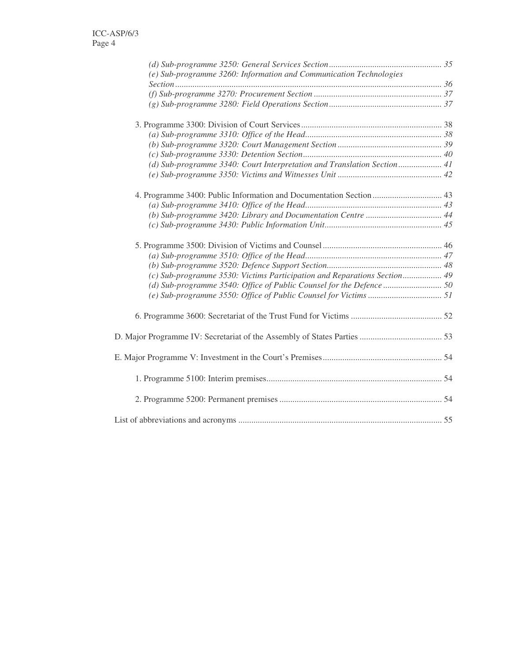| (e) Sub-programme 3260: Information and Communication Technologies       |  |
|--------------------------------------------------------------------------|--|
|                                                                          |  |
|                                                                          |  |
|                                                                          |  |
|                                                                          |  |
|                                                                          |  |
|                                                                          |  |
|                                                                          |  |
| (d) Sub-programme 3340: Court Interpretation and Translation Section 41  |  |
|                                                                          |  |
| 4. Programme 3400: Public Information and Documentation Section  43      |  |
|                                                                          |  |
|                                                                          |  |
|                                                                          |  |
|                                                                          |  |
|                                                                          |  |
|                                                                          |  |
| (c) Sub-programme 3530: Victims Participation and Reparations Section 49 |  |
|                                                                          |  |
|                                                                          |  |
|                                                                          |  |
|                                                                          |  |
|                                                                          |  |
|                                                                          |  |
|                                                                          |  |
|                                                                          |  |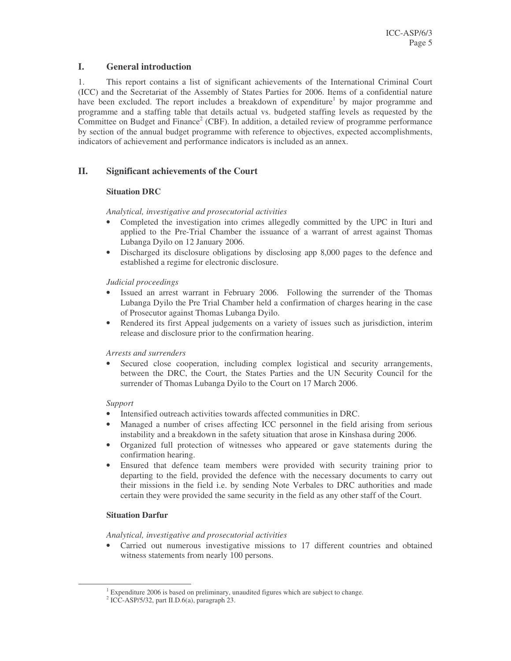### **I. General introduction**

1. This report contains a list of significant achievements of the International Criminal Court (ICC) and the Secretariat of the Assembly of States Parties for 2006. Items of a confidential nature have been excluded. The report includes a breakdown of expenditure<sup>1</sup> by major programme and programme and a staffing table that details actual vs. budgeted staffing levels as requested by the Committee on Budget and Finance<sup>2</sup> (CBF). In addition, a detailed review of programme performance by section of the annual budget programme with reference to objectives, expected accomplishments, indicators of achievement and performance indicators is included as an annex.

### **II. Significant achievements of the Court**

### **Situation DRC**

### *Analytical, investigative and prosecutorial activities*

- Completed the investigation into crimes allegedly committed by the UPC in Ituri and applied to the Pre-Trial Chamber the issuance of a warrant of arrest against Thomas Lubanga Dyilo on 12 January 2006.
- Discharged its disclosure obligations by disclosing app 8,000 pages to the defence and established a regime for electronic disclosure.

### *Judicial proceedings*

- Issued an arrest warrant in February 2006. Following the surrender of the Thomas Lubanga Dyilo the Pre Trial Chamber held a confirmation of charges hearing in the case of Prosecutor against Thomas Lubanga Dyilo.
- Rendered its first Appeal judgements on a variety of issues such as jurisdiction, interim release and disclosure prior to the confirmation hearing.

### *Arrests and surrenders*

• Secured close cooperation, including complex logistical and security arrangements, between the DRC, the Court, the States Parties and the UN Security Council for the surrender of Thomas Lubanga Dyilo to the Court on 17 March 2006.

### *Support*

- Intensified outreach activities towards affected communities in DRC.
- Managed a number of crises affecting ICC personnel in the field arising from serious instability and a breakdown in the safety situation that arose in Kinshasa during 2006.
- Organized full protection of witnesses who appeared or gave statements during the confirmation hearing.
- Ensured that defence team members were provided with security training prior to departing to the field, provided the defence with the necessary documents to carry out their missions in the field i.e. by sending Note Verbales to DRC authorities and made certain they were provided the same security in the field as any other staff of the Court.

### **Situation Darfur**

### *Analytical, investigative and prosecutorial activities*

Carried out numerous investigative missions to 17 different countries and obtained witness statements from nearly 100 persons.

<sup>&</sup>lt;sup>1</sup> Expenditure 2006 is based on preliminary, unaudited figures which are subject to change.

<sup>2</sup> ICC-ASP/5/32, part II.D.6(a), paragraph 23.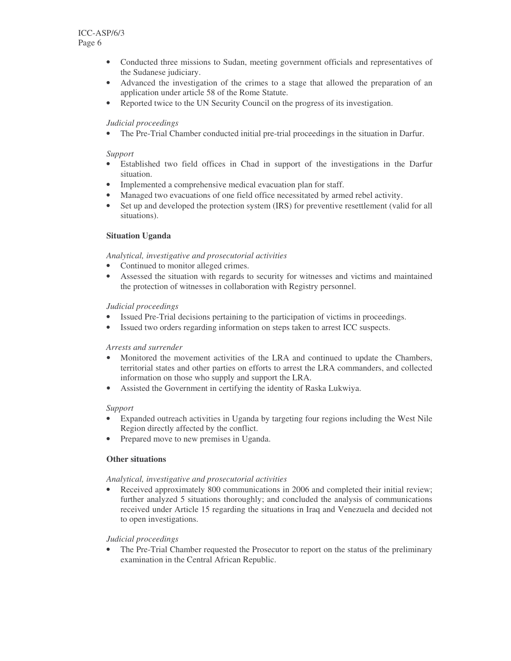- Conducted three missions to Sudan, meeting government officials and representatives of the Sudanese judiciary.
- Advanced the investigation of the crimes to a stage that allowed the preparation of an application under article 58 of the Rome Statute.
- Reported twice to the UN Security Council on the progress of its investigation.

### *Judicial proceedings*

• The Pre-Trial Chamber conducted initial pre-trial proceedings in the situation in Darfur.

### *Support*

- Established two field offices in Chad in support of the investigations in the Darfur situation.
- Implemented a comprehensive medical evacuation plan for staff.
- Managed two evacuations of one field office necessitated by armed rebel activity.
- Set up and developed the protection system (IRS) for preventive resettlement (valid for all situations).

### **Situation Uganda**

### *Analytical, investigative and prosecutorial activities*

- Continued to monitor alleged crimes.
- Assessed the situation with regards to security for witnesses and victims and maintained the protection of witnesses in collaboration with Registry personnel.

### *Judicial proceedings*

- Issued Pre-Trial decisions pertaining to the participation of victims in proceedings.
- Issued two orders regarding information on steps taken to arrest ICC suspects.

### *Arrests and surrender*

- Monitored the movement activities of the LRA and continued to update the Chambers, territorial states and other parties on efforts to arrest the LRA commanders, and collected information on those who supply and support the LRA.
- Assisted the Government in certifying the identity of Raska Lukwiya.

### *Support*

- Expanded outreach activities in Uganda by targeting four regions including the West Nile Region directly affected by the conflict.
- Prepared move to new premises in Uganda.

### **Other situations**

### *Analytical, investigative and prosecutorial activities*

Received approximately 800 communications in 2006 and completed their initial review; further analyzed 5 situations thoroughly; and concluded the analysis of communications received under Article 15 regarding the situations in Iraq and Venezuela and decided not to open investigations.

### *Judicial proceedings*

• The Pre-Trial Chamber requested the Prosecutor to report on the status of the preliminary examination in the Central African Republic.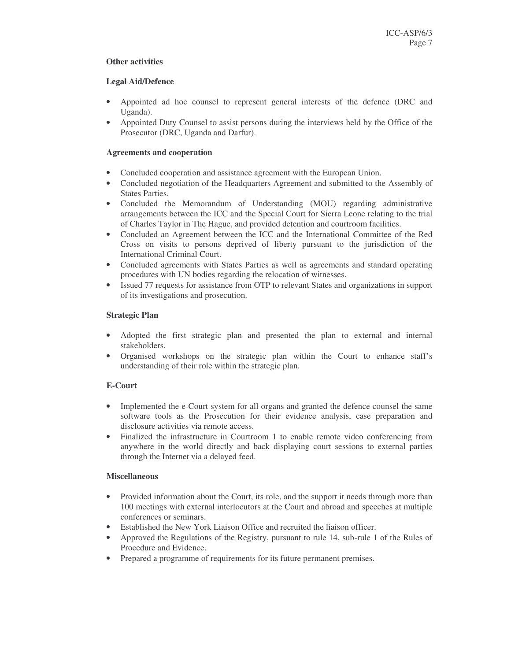### **Other activities**

### **Legal Aid/Defence**

- Appointed ad hoc counsel to represent general interests of the defence (DRC and Uganda).
- Appointed Duty Counsel to assist persons during the interviews held by the Office of the Prosecutor (DRC, Uganda and Darfur).

### **Agreements and cooperation**

- Concluded cooperation and assistance agreement with the European Union.
- Concluded negotiation of the Headquarters Agreement and submitted to the Assembly of States Parties.
- Concluded the Memorandum of Understanding (MOU) regarding administrative arrangements between the ICC and the Special Court for Sierra Leone relating to the trial of Charles Taylor in The Hague, and provided detention and courtroom facilities.
- Concluded an Agreement between the ICC and the International Committee of the Red Cross on visits to persons deprived of liberty pursuant to the jurisdiction of the International Criminal Court.
- Concluded agreements with States Parties as well as agreements and standard operating procedures with UN bodies regarding the relocation of witnesses.
- Issued 77 requests for assistance from OTP to relevant States and organizations in support of its investigations and prosecution.

### **Strategic Plan**

- Adopted the first strategic plan and presented the plan to external and internal stakeholders.
- Organised workshops on the strategic plan within the Court to enhance staff's understanding of their role within the strategic plan.

### **E-Court**

- Implemented the e-Court system for all organs and granted the defence counsel the same software tools as the Prosecution for their evidence analysis, case preparation and disclosure activities via remote access.
- Finalized the infrastructure in Courtroom 1 to enable remote video conferencing from anywhere in the world directly and back displaying court sessions to external parties through the Internet via a delayed feed.

### **Miscellaneous**

- Provided information about the Court, its role, and the support it needs through more than 100 meetings with external interlocutors at the Court and abroad and speeches at multiple conferences or seminars.
- Established the New York Liaison Office and recruited the liaison officer.
- Approved the Regulations of the Registry, pursuant to rule 14, sub-rule 1 of the Rules of Procedure and Evidence.
- Prepared a programme of requirements for its future permanent premises.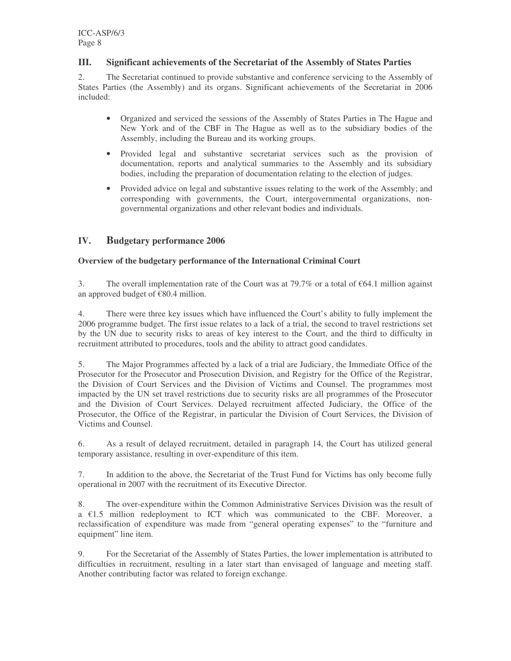### **III. Significant achievements of the Secretariat of the Assembly of States Parties**

2. The Secretariat continued to provide substantive and conference servicing to the Assembly of States Parties (the Assembly) and its organs. Significant achievements of the Secretariat in 2006 included:

- Organized and serviced the sessions of the Assembly of States Parties in The Hague and New York and of the CBF in The Hague as well as to the subsidiary bodies of the Assembly, including the Bureau and its working groups.
- Provided legal and substantive secretariat services such as the provision of documentation, reports and analytical summaries to the Assembly and its subsidiary bodies, including the preparation of documentation relating to the election of judges.
- Provided advice on legal and substantive issues relating to the work of the Assembly; and corresponding with governments, the Court, intergovernmental organizations, nongovernmental organizations and other relevant bodies and individuals.

## **IV. Budgetary performance 2006**

### **Overview of the budgetary performance of the International Criminal Court**

3. The overall implementation rate of the Court was at 79.7% or a total of  $\epsilon$ 64.1 million against an approved budget of €80.4 million.

4. There were three key issues which have influenced the Court's ability to fully implement the 2006 programme budget. The first issue relates to a lack of a trial, the second to travel restrictions set by the UN due to security risks to areas of key interest to the Court, and the third to difficulty in recruitment attributed to procedures, tools and the ability to attract good candidates.

5. The Major Programmes affected by a lack of a trial are Judiciary, the Immediate Office of the Prosecutor for the Prosecutor and Prosecution Division, and Registry for the Office of the Registrar, the Division of Court Services and the Division of Victims and Counsel. The programmes most impacted by the UN set travel restrictions due to security risks are all programmes of the Prosecutor and the Division of Court Services. Delayed recruitment affected Judiciary, the Office of the Prosecutor, the Office of the Registrar, in particular the Division of Court Services, the Division of Victims and Counsel.

6. As a result of delayed recruitment, detailed in paragraph 14, the Court has utilized general temporary assistance, resulting in over-expenditure of this item.

7. In addition to the above, the Secretariat of the Trust Fund for Victims has only become fully operational in 2007 with the recruitment of its Executive Director.

8. The over-expenditure within the Common Administrative Services Division was the result of  $a \in 1.5$  million redeployment to ICT which was communicated to the CBF. Moreover, a reclassification of expenditure was made from "general operating expenses" to the "furniture and equipment" line item.

9. For the Secretariat of the Assembly of States Parties, the lower implementation is attributed to difficulties in recruitment, resulting in a later start than envisaged of language and meeting staff. Another contributing factor was related to foreign exchange.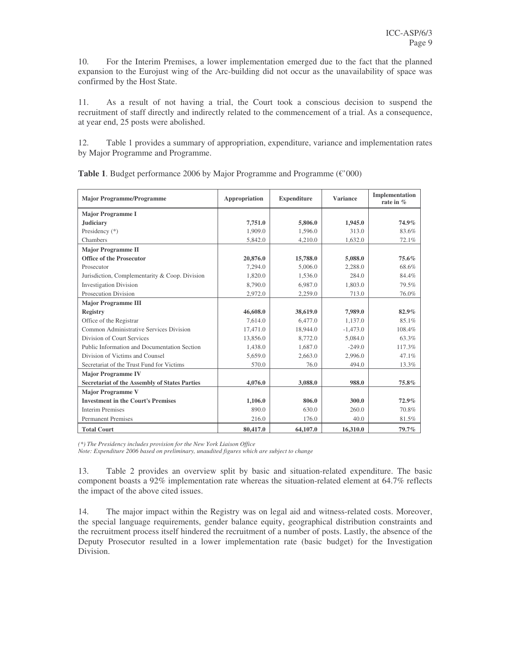10. For the Interim Premises, a lower implementation emerged due to the fact that the planned expansion to the Eurojust wing of the Arc-building did not occur as the unavailability of space was confirmed by the Host State.

11. As a result of not having a trial, the Court took a conscious decision to suspend the recruitment of staff directly and indirectly related to the commencement of a trial. As a consequence, at year end, 25 posts were abolished.

12. Table 1 provides a summary of appropriation, expenditure, variance and implementation rates by Major Programme and Programme.

| <b>Major Programme/Programme</b>                     | Appropriation | <b>Expenditure</b> | <b>Variance</b> | Implementation<br>rate in $%$ |
|------------------------------------------------------|---------------|--------------------|-----------------|-------------------------------|
| <b>Major Programme I</b>                             |               |                    |                 |                               |
| <b>Judiciary</b>                                     | 7,751.0       | 5,806.0            | 1,945.0         | 74.9%                         |
| Presidency (*)                                       | 1,909.0       | 1.596.0            | 313.0           | 83.6%                         |
| Chambers                                             | 5,842.0       | 4,210.0            | 1,632.0         | 72.1%                         |
| <b>Major Programme II</b>                            |               |                    |                 |                               |
| <b>Office of the Prosecutor</b>                      | 20,876.0      | 15,788.0           | 5,088.0         | $75.6\%$                      |
| Prosecutor                                           | 7.294.0       | 5,006.0            | 2.288.0         | 68.6%                         |
| Jurisdiction, Complementarity & Coop. Division       | 1,820.0       | 1,536.0            | 284.0           | 84.4%                         |
| <b>Investigation Division</b>                        | 8,790.0       | 6.987.0            | 1,803.0         | 79.5%                         |
| <b>Prosecution Division</b>                          | 2,972.0       | 2,259.0            | 713.0           | 76.0%                         |
| <b>Major Programme III</b>                           |               |                    |                 |                               |
| Registry                                             | 46,608.0      | 38,619.0           | 7,989.0         | $82.9\%$                      |
| Office of the Registrar                              | 7.614.0       | 6,477.0            | 1.137.0         | 85.1%                         |
| Common Administrative Services Division              | 17.471.0      | 18,944.0           | $-1,473.0$      | 108.4%                        |
| Division of Court Services                           | 13,856.0      | 8,772.0            | 5,084.0         | 63.3%                         |
| Public Information and Documentation Section         | 1,438.0       | 1,687.0            | $-249.0$        | 117.3%                        |
| Division of Victims and Counsel                      | 5.659.0       | 2,663.0            | 2,996.0         | 47.1%                         |
| Secretariat of the Trust Fund for Victims            | 570.0         | 76.0               | 494.0           | 13.3%                         |
| <b>Major Programme IV</b>                            |               |                    |                 |                               |
| <b>Secretariat of the Assembly of States Parties</b> | 4,076.0       | 3.088.0            | 988.0           | 75.8%                         |
| <b>Major Programme V</b>                             |               |                    |                 |                               |
| <b>Investment in the Court's Premises</b>            | 1,106.0       | 806.0              | 300.0           | 72.9%                         |
| <b>Interim Premises</b>                              | 890.0         | 630.0              | 260.0           | 70.8%                         |
| <b>Permanent Premises</b>                            | 216.0         | 176.0              | 40.0            | 81.5%                         |
| <b>Total Court</b>                                   | 80,417.0      | 64,107.0           | 16,310.0        | 79.7%                         |

**Table 1**. Budget performance 2006 by Major Programme and Programme (€'000)

*(\*) The Presidency includes provision for the New York Liaison Office*

*Note: Expenditure 2006 based on preliminary, unaudited figures which are subject to change*

13. Table 2 provides an overview split by basic and situation-related expenditure. The basic component boasts a 92% implementation rate whereas the situation-related element at 64.7% reflects the impact of the above cited issues.

14. The major impact within the Registry was on legal aid and witness-related costs. Moreover, the special language requirements, gender balance equity, geographical distribution constraints and the recruitment process itself hindered the recruitment of a number of posts. Lastly, the absence of the Deputy Prosecutor resulted in a lower implementation rate (basic budget) for the Investigation Division.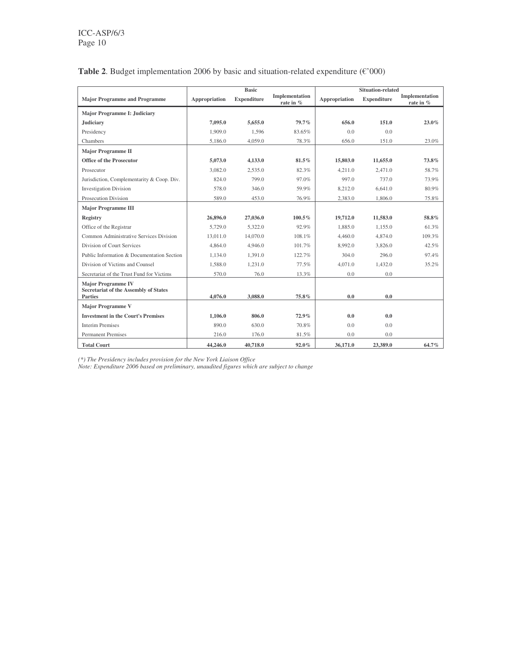|                                                                                      | <b>Basic</b>  |                    |                             |               |                    |                             |
|--------------------------------------------------------------------------------------|---------------|--------------------|-----------------------------|---------------|--------------------|-----------------------------|
| <b>Major Programme and Programme</b>                                                 | Appropriation | <b>Expenditure</b> | Implementation<br>rate in % | Appropriation | <b>Expenditure</b> | Implementation<br>rate in % |
| <b>Major Programme I: Judiciary</b>                                                  |               |                    |                             |               |                    |                             |
| Judiciary                                                                            | 7,095.0       | 5,655.0            | 79.7%                       | 656.0         | 151.0              | $23.0\%$                    |
| Presidency                                                                           | 1,909.0       | 1.596              | 83.65%                      | 0.0           | 0.0                |                             |
| Chambers                                                                             | 5.186.0       | 4,059.0            | 78.3%                       | 656.0         | 151.0              | 23.0%                       |
| <b>Major Programme II</b>                                                            |               |                    |                             |               |                    |                             |
| <b>Office of the Prosecutor</b>                                                      | 5,073.0       | 4,133.0            | 81.5%                       | 15,803.0      | 11,655.0           | 73.8%                       |
| Prosecutor                                                                           | 3.082.0       | 2,535.0            | 82.3%                       | 4.211.0       | 2.471.0            | 58.7%                       |
| Jurisdiction, Complementarity & Coop. Div.                                           | 824.0         | 799.0              | 97.0%                       | 997.0         | 737.0              | 73.9%                       |
| <b>Investigation Division</b>                                                        | 578.0         | 346.0              | 59.9%                       | 8,212.0       | 6,641.0            | 80.9%                       |
| Prosecution Division                                                                 | 589.0         | 453.0              | 76.9%                       | 2.383.0       | 1,806.0            | 75.8%                       |
| <b>Major Programme III</b>                                                           |               |                    |                             |               |                    |                             |
| <b>Registry</b>                                                                      | 26,896.0      | 27,036.0           | $100.5\%$                   | 19,712.0      | 11.583.0           | 58.8%                       |
| Office of the Registrar                                                              | 5,729.0       | 5.322.0            | 92.9%                       | 1.885.0       | 1.155.0            | 61.3%                       |
| Common Administrative Services Division                                              | 13,011.0      | 14,070.0           | 108.1%                      | 4,460.0       | 4,874.0            | 109.3%                      |
| Division of Court Services                                                           | 4,864.0       | 4,946.0            | 101.7%                      | 8,992.0       | 3,826.0            | 42.5%                       |
| Public Information & Documentation Section                                           | 1.134.0       | 1.391.0            | 122.7%                      | 304.0         | 296.0              | 97.4%                       |
| Division of Victims and Counsel                                                      | 1.588.0       | 1.231.0            | 77.5%                       | 4.071.0       | 1.432.0            | 35.2%                       |
| Secretariat of the Trust Fund for Victims                                            | 570.0         | 76.0               | 13.3%                       | 0.0           | 0.0                |                             |
| <b>Major Programme IV</b><br>Secretariat of the Assembly of States<br><b>Parties</b> | 4,076.0       | 3,088.0            | 75.8%                       | 0.0           | 0.0                |                             |
| <b>Major Programme V</b>                                                             |               |                    |                             |               |                    |                             |
| <b>Investment in the Court's Premises</b>                                            | 1,106.0       | 806.0              | 72.9%                       | 0.0           | 0.0                |                             |
| <b>Interim Premises</b>                                                              | 890.0         | 630.0              | 70.8%                       | 0.0           | 0.0                |                             |
| <b>Permanent Premises</b>                                                            | 216.0         | 176.0              | 81.5%                       | 0.0           | 0.0                |                             |
| <b>Total Court</b>                                                                   | 44,246.0      | 40,718.0           | 92.0%                       | 36,171.0      | 23,389.0           | 64.7%                       |

### **Table 2**. Budget implementation 2006 by basic and situation-related expenditure  $(\mathcal{C'}000)$

*(\*) The Presidency includes provision for the New York Liaison Office*

*Note: Expenditure 2006 based on preliminary, unaudited figures which are subject to change*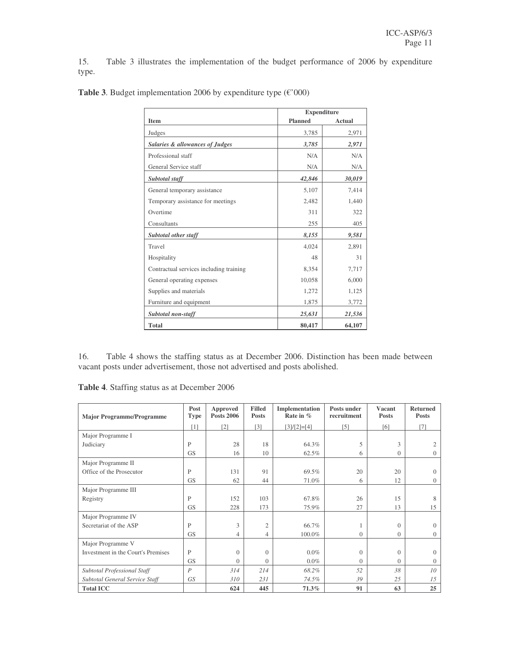15. Table 3 illustrates the implementation of the budget performance of 2006 by expenditure type.

|                                            |                | <b>Expenditure</b> |
|--------------------------------------------|----------------|--------------------|
| <b>Item</b>                                | <b>Planned</b> | Actual             |
| Judges                                     | 3,785          | 2,971              |
| <b>Salaries &amp; allowances of Judges</b> | 3,785          | 2,971              |
| Professional staff                         | N/A            | N/A                |
| General Service staff                      | N/A            | N/A                |
| Subtotal staff                             | 42,846         | 30,019             |
| General temporary assistance               | 5,107          | 7,414              |
| Temporary assistance for meetings          | 2,482          | 1,440              |
| Overtime                                   | 311            | 322                |
| Consultants                                | 255            | 405                |
| Subtotal other staff                       | 8,155          | 9,581              |
| Travel                                     | 4,024          | 2,891              |
| Hospitality                                | 48             | 31                 |
| Contractual services including training    | 8,354          | 7,717              |
| General operating expenses                 | 10,058         | 6,000              |
| Supplies and materials                     | 1,272          | 1,125              |
| Furniture and equipment                    | 1,875          | 3,772              |
| Subtotal non-staff                         | 25,631         | 21,536             |
| <b>Total</b>                               | 80,417         | 64,107             |

**Table 3**. Budget implementation 2006 by expenditure type (€'000)

16. Table 4 shows the staffing status as at December 2006. Distinction has been made between vacant posts under advertisement, those not advertised and posts abolished.

**Table 4**. Staffing status as at December 2006

| <b>Major Programme/Programme</b>   | Post<br><b>Type</b> | Approved<br><b>Posts 2006</b> | <b>Filled</b><br><b>Posts</b> | Implementation<br>Rate in $%$ | Posts under<br>recruitment | <b>Vacant</b><br><b>Posts</b> | <b>Returned</b><br><b>Posts</b> |
|------------------------------------|---------------------|-------------------------------|-------------------------------|-------------------------------|----------------------------|-------------------------------|---------------------------------|
|                                    | [1]                 | $\lceil 2 \rceil$             | [3]                           | $[3]/[2]=[4]$                 | [5]                        | [6]                           | [7]                             |
| Major Programme I                  |                     |                               |                               |                               |                            |                               |                                 |
| Judiciary                          | P                   | 28                            | 18                            | 64.3%                         | 5                          | 3                             |                                 |
|                                    | <b>GS</b>           | 16                            | 10                            | 62.5%                         | 6                          | $\overline{0}$                | $\Omega$                        |
| Major Programme II                 |                     |                               |                               |                               |                            |                               |                                 |
| Office of the Prosecutor           | P                   | 131                           | 91                            | 69.5%                         | 20                         | 20                            | $\Omega$                        |
|                                    | <b>GS</b>           | 62                            | 44                            | 71.0%                         | 6                          | 12                            | $\Omega$                        |
| Major Programme III                |                     |                               |                               |                               |                            |                               |                                 |
| Registry                           | P                   | 152                           | 103                           | 67.8%                         | 26                         | 15                            | 8                               |
|                                    | <b>GS</b>           | 228                           | 173                           | 75.9%                         | 27                         | 13                            | 15                              |
| Major Programme IV                 |                     |                               |                               |                               |                            |                               |                                 |
| Secretariat of the ASP             | P                   | 3                             | $\mathfrak{2}$                | 66.7%                         |                            | $\Omega$                      | $\Omega$                        |
|                                    | <b>GS</b>           | $\overline{4}$                | $\overline{4}$                | 100.0%                        | $\overline{0}$             | $\overline{0}$                | $\Omega$                        |
| Major Programme V                  |                     |                               |                               |                               |                            |                               |                                 |
| Investment in the Court's Premises | P                   | $\Omega$                      | $\Omega$                      | $0.0\%$                       | $\mathbf{0}$               | $\Omega$                      | $\Omega$                        |
|                                    | <b>GS</b>           | $\Omega$                      | $\Omega$                      | $0.0\%$                       | $\overline{0}$             | $\Omega$                      | $\Omega$                        |
| Subtotal Professional Staff        | $\boldsymbol{P}$    | 314                           | 214                           | 68.2%                         | 52                         | 38                            | 10 <sup>2</sup>                 |
| Subtotal General Service Staff     | <b>GS</b>           | 310                           | 231                           | 74.5%                         | 39                         | 25                            | 1.5                             |
| <b>Total ICC</b>                   |                     | 624                           | 445                           | 71.3%                         | 91                         | 63                            | 25                              |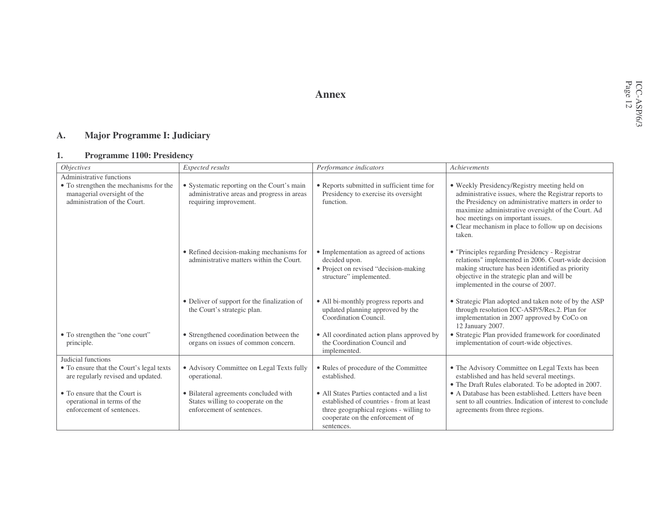### **Annex**

#### **A.Major Programme I: Judiciary**

#### **1.Programme 1100: Presidency**

| <i>Objectives</i>                                                                                     | Expected results                                                                                                   | Performance indicators                                                                                                                                                            | Achievements                                                                                                                                                                                                                                                                                                               |
|-------------------------------------------------------------------------------------------------------|--------------------------------------------------------------------------------------------------------------------|-----------------------------------------------------------------------------------------------------------------------------------------------------------------------------------|----------------------------------------------------------------------------------------------------------------------------------------------------------------------------------------------------------------------------------------------------------------------------------------------------------------------------|
| Administrative functions                                                                              |                                                                                                                    |                                                                                                                                                                                   |                                                                                                                                                                                                                                                                                                                            |
| • To strengthen the mechanisms for the<br>managerial oversight of the<br>administration of the Court. | • Systematic reporting on the Court's main<br>administrative areas and progress in areas<br>requiring improvement. | • Reports submitted in sufficient time for<br>Presidency to exercise its oversight<br>function.                                                                                   | • Weekly Presidency/Registry meeting held on<br>administrative issues, where the Registrar reports to<br>the Presidency on administrative matters in order to<br>maximize administrative oversight of the Court. Ad<br>hoc meetings on important issues.<br>• Clear mechanism in place to follow up on decisions<br>taken. |
|                                                                                                       | • Refined decision-making mechanisms for<br>administrative matters within the Court.                               | • Implementation as agreed of actions<br>decided upon.<br>• Project on revised "decision-making<br>structure" implemented.                                                        | • "Principles regarding Presidency - Registrar"<br>relations" implemented in 2006. Court-wide decision<br>making structure has been identified as priority<br>objective in the strategic plan and will be<br>implemented in the course of 2007.                                                                            |
|                                                                                                       | • Deliver of support for the finalization of<br>the Court's strategic plan.                                        | • All bi-monthly progress reports and<br>updated planning approved by the<br>Coordination Council.                                                                                | • Strategic Plan adopted and taken note of by the ASP<br>through resolution ICC-ASP/5/Res.2. Plan for<br>implementation in 2007 approved by CoCo on<br>12 January 2007.                                                                                                                                                    |
| • To strengthen the "one court"<br>principle.                                                         | • Strengthened coordination between the<br>organs on issues of common concern.                                     | • All coordinated action plans approved by<br>the Coordination Council and<br>implemented.                                                                                        | • Strategic Plan provided framework for coordinated<br>implementation of court-wide objectives.                                                                                                                                                                                                                            |
| Judicial functions                                                                                    |                                                                                                                    |                                                                                                                                                                                   |                                                                                                                                                                                                                                                                                                                            |
| • To ensure that the Court's legal texts<br>are regularly revised and updated.                        | • Advisory Committee on Legal Texts fully<br>operational.                                                          | • Rules of procedure of the Committee<br>established.                                                                                                                             | • The Advisory Committee on Legal Texts has been<br>established and has held several meetings.<br>• The Draft Rules elaborated. To be adopted in 2007.                                                                                                                                                                     |
| • To ensure that the Court is<br>operational in terms of the<br>enforcement of sentences.             | • Bilateral agreements concluded with<br>States willing to cooperate on the<br>enforcement of sentences.           | • All States Parties contacted and a list<br>established of countries - from at least<br>three geographical regions - willing to<br>cooperate on the enforcement of<br>sentences. | • A Database has been established. Letters have been<br>sent to all countries. Indication of interest to conclude<br>agreements from three regions.                                                                                                                                                                        |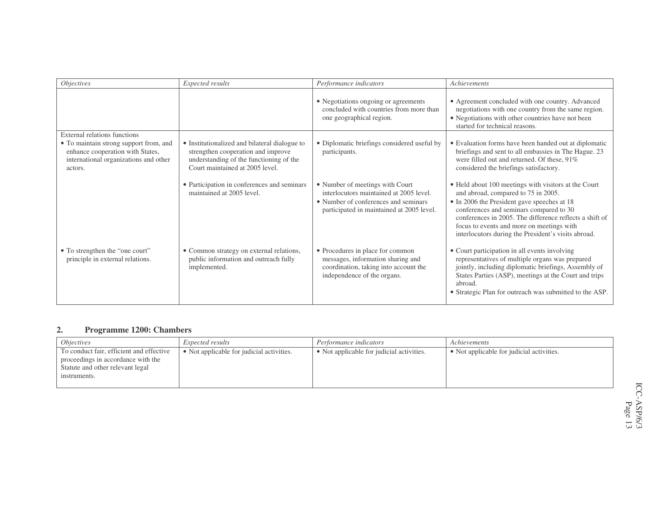| <i>Objectives</i>                                                                                                              | Expected results                                                                                                                                                  | Performance indicators                                                                                                                                          | Achievements                                                                                                                                                                                                                                                                                                                                         |
|--------------------------------------------------------------------------------------------------------------------------------|-------------------------------------------------------------------------------------------------------------------------------------------------------------------|-----------------------------------------------------------------------------------------------------------------------------------------------------------------|------------------------------------------------------------------------------------------------------------------------------------------------------------------------------------------------------------------------------------------------------------------------------------------------------------------------------------------------------|
|                                                                                                                                |                                                                                                                                                                   | • Negotiations ongoing or agreements<br>concluded with countries from more than<br>one geographical region.                                                     | • Agreement concluded with one country. Advanced<br>negotiations with one country from the same region.<br>• Negotiations with other countries have not been<br>started for technical reasons.                                                                                                                                                       |
| External relations functions                                                                                                   |                                                                                                                                                                   |                                                                                                                                                                 |                                                                                                                                                                                                                                                                                                                                                      |
| • To maintain strong support from, and<br>enhance cooperation with States,<br>international organizations and other<br>actors. | • Institutionalized and bilateral dialogue to<br>strengthen cooperation and improve<br>understanding of the functioning of the<br>Court maintained at 2005 level. | • Diplomatic briefings considered useful by<br>participants.                                                                                                    | • Evaluation forms have been handed out at diplomatic<br>briefings and sent to all embassies in The Hague. 23<br>were filled out and returned. Of these, 91%<br>considered the briefings satisfactory.                                                                                                                                               |
|                                                                                                                                | • Participation in conferences and seminars<br>maintained at 2005 level.                                                                                          | • Number of meetings with Court<br>interlocutors maintained at 2005 level.<br>• Number of conferences and seminars<br>participated in maintained at 2005 level. | • Held about 100 meetings with visitors at the Court<br>and abroad, compared to 75 in 2005.<br>• In 2006 the President gave speeches at 18<br>conferences and seminars compared to 30<br>conferences in 2005. The difference reflects a shift of<br>focus to events and more on meetings with<br>interlocutors during the President's visits abroad. |
| • To strengthen the "one court"<br>principle in external relations.                                                            | • Common strategy on external relations,<br>public information and outreach fully<br>implemented.                                                                 | • Procedures in place for common<br>messages, information sharing and<br>coordination, taking into account the<br>independence of the organs.                   | • Court participation in all events involving<br>representatives of multiple organs was prepared<br>jointly, including diplomatic briefings, Assembly of<br>States Parties (ASP), meetings at the Court and trips<br>abroad.<br>• Strategic Plan for outreach was submitted to the ASP.                                                              |

#### **2.Programme 1200: Chambers**

| <i>Objectives</i>                                                                                                                  | <i>Expected results</i>                   | Performance indicators                    | Achievements                              |
|------------------------------------------------------------------------------------------------------------------------------------|-------------------------------------------|-------------------------------------------|-------------------------------------------|
| To conduct fair, efficient and effective<br>proceedings in accordance with the<br>Statute and other relevant legal<br>instruments. | • Not applicable for judicial activities. | • Not applicable for judicial activities. | • Not applicable for judicial activities. |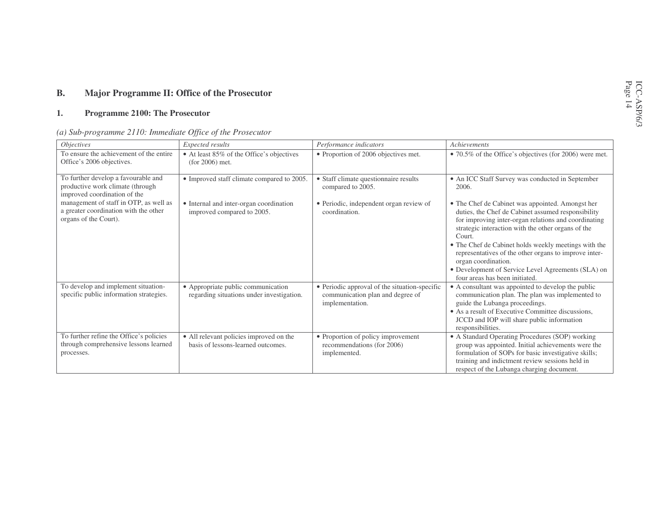#### **B.Major Programme II: Office of the Prosecutor**

#### **1.Programme 2100: The Prosecutor**

|  |  | (a) Sub-programme 2110: Immediate Office of the Prosecutor |  |  |  |  |  |
|--|--|------------------------------------------------------------|--|--|--|--|--|
|--|--|------------------------------------------------------------|--|--|--|--|--|

| <i>Objectives</i>                                                                                        | Expected results                                                                | Performance indicators                                                                               | Achievements                                                                                                                                                                                                                                                                                                                                                                                                                                                   |
|----------------------------------------------------------------------------------------------------------|---------------------------------------------------------------------------------|------------------------------------------------------------------------------------------------------|----------------------------------------------------------------------------------------------------------------------------------------------------------------------------------------------------------------------------------------------------------------------------------------------------------------------------------------------------------------------------------------------------------------------------------------------------------------|
| To ensure the achievement of the entire<br>Office's 2006 objectives.                                     | • At least 85% of the Office's objectives<br>$(for 2006)$ met.                  | • Proportion of 2006 objectives met.                                                                 | • 70.5% of the Office's objectives (for 2006) were met.                                                                                                                                                                                                                                                                                                                                                                                                        |
| To further develop a favourable and<br>productive work climate (through<br>improved coordination of the  | • Improved staff climate compared to 2005.                                      | • Staff climate questionnaire results<br>compared to 2005.                                           | • An ICC Staff Survey was conducted in September<br>2006.                                                                                                                                                                                                                                                                                                                                                                                                      |
| management of staff in OTP, as well as<br>a greater coordination with the other<br>organs of the Court). | • Internal and inter-organ coordination<br>improved compared to 2005.           | • Periodic, independent organ review of<br>coordination.                                             | • The Chef de Cabinet was appointed. Amongst her<br>duties, the Chef de Cabinet assumed responsibility<br>for improving inter-organ relations and coordinating<br>strategic interaction with the other organs of the<br>Court.<br>• The Chef de Cabinet holds weekly meetings with the<br>representatives of the other organs to improve inter-<br>organ coordination.<br>• Development of Service Level Agreements (SLA) on<br>four areas has been initiated. |
| To develop and implement situation-<br>specific public information strategies.                           | • Appropriate public communication<br>regarding situations under investigation. | • Periodic approval of the situation-specific<br>communication plan and degree of<br>implementation. | • A consultant was appointed to develop the public<br>communication plan. The plan was implemented to<br>guide the Lubanga proceedings.<br>• As a result of Executive Committee discussions,<br>JCCD and IOP will share public information<br>responsibilities.                                                                                                                                                                                                |
| To further refine the Office's policies<br>through comprehensive lessons learned<br>processes.           | • All relevant policies improved on the<br>basis of lessons-learned outcomes.   | • Proportion of policy improvement<br>recommendations (for 2006)<br>implemented.                     | • A Standard Operating Procedures (SOP) working<br>group was appointed. Initial achievements were the<br>formulation of SOPs for basic investigative skills;<br>training and indictment review sessions held in<br>respect of the Lubanga charging document.                                                                                                                                                                                                   |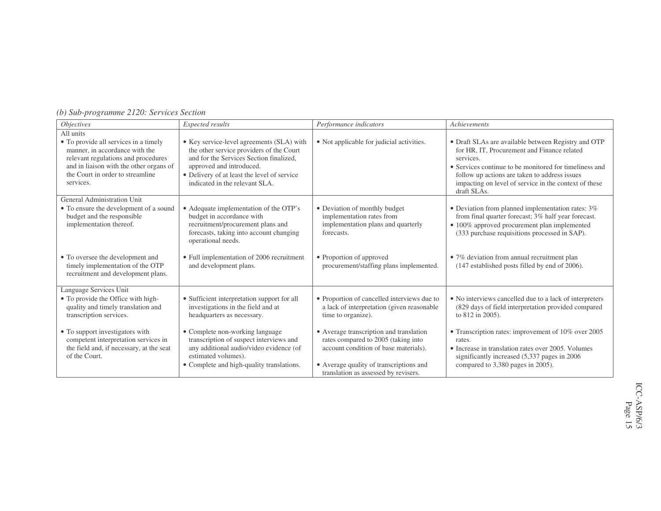| (b) Sub-programme 2120: Services Section |  |  |  |
|------------------------------------------|--|--|--|
|------------------------------------------|--|--|--|

| <i>Objectives</i>                                                                                                                    | Expected results                                                                                                                                                                          | Performance indicators                                                                                                                                                                                     | Achievements                                                                                                                                                                                                      |
|--------------------------------------------------------------------------------------------------------------------------------------|-------------------------------------------------------------------------------------------------------------------------------------------------------------------------------------------|------------------------------------------------------------------------------------------------------------------------------------------------------------------------------------------------------------|-------------------------------------------------------------------------------------------------------------------------------------------------------------------------------------------------------------------|
| All units<br>• To provide all services in a timely<br>manner, in accordance with the<br>relevant regulations and procedures          | • Key service-level agreements (SLA) with<br>the other service providers of the Court<br>and for the Services Section finalized,                                                          | • Not applicable for judicial activities.                                                                                                                                                                  | • Draft SLAs are available between Registry and OTP<br>for HR, IT, Procurement and Finance related<br>services.                                                                                                   |
| and in liaison with the other organs of<br>the Court in order to streamline<br>services.                                             | approved and introduced.<br>• Delivery of at least the level of service<br>indicated in the relevant SLA.                                                                                 |                                                                                                                                                                                                            | • Services continue to be monitored for timeliness and<br>follow up actions are taken to address issues<br>impacting on level of service in the context of these<br>draft SLAs.                                   |
| General Administration Unit<br>• To ensure the development of a sound<br>budget and the responsible<br>implementation thereof.       | • Adequate implementation of the OTP's<br>budget in accordance with<br>recruitment/procurement plans and<br>forecasts, taking into account changing<br>operational needs.                 | • Deviation of monthly budget<br>implementation rates from<br>implementation plans and quarterly<br>forecasts.                                                                                             | $\bullet$ Deviation from planned implementation rates: 3%<br>from final quarter forecast; 3% half year forecast.<br>• 100% approved procurement plan implemented<br>(333 purchase requisitions processed in SAP). |
| • To oversee the development and<br>timely implementation of the OTP<br>recruitment and development plans.                           | • Full implementation of 2006 recruitment<br>and development plans.                                                                                                                       | • Proportion of approved<br>procurement/staffing plans implemented.                                                                                                                                        | • 7% deviation from annual recruitment plan<br>(147 established posts filled by end of 2006).                                                                                                                     |
| Language Services Unit<br>• To provide the Office with high-<br>quality and timely translation and<br>transcription services.        | • Sufficient interpretation support for all<br>investigations in the field and at<br>headquarters as necessary.                                                                           | • Proportion of cancelled interviews due to<br>a lack of interpretation (given reasonable<br>time to organize).                                                                                            | • No interviews cancelled due to a lack of interpreters<br>(829 days of field interpretation provided compared<br>to 812 in 2005).                                                                                |
| • To support investigators with<br>competent interpretation services in<br>the field and, if necessary, at the seat<br>of the Court. | • Complete non-working language<br>transcription of suspect interviews and<br>any additional audio/video evidence (of<br>estimated volumes).<br>• Complete and high-quality translations. | • Average transcription and translation<br>rates compared to 2005 (taking into<br>account condition of base materials).<br>• Average quality of transcriptions and<br>translation as assessed by revisers. | • Transcription rates: improvement of 10% over 2005<br>rates.<br>• Increase in translation rates over 2005. Volumes<br>significantly increased (5,337 pages in 2006)<br>compared to 3,380 pages in 2005).         |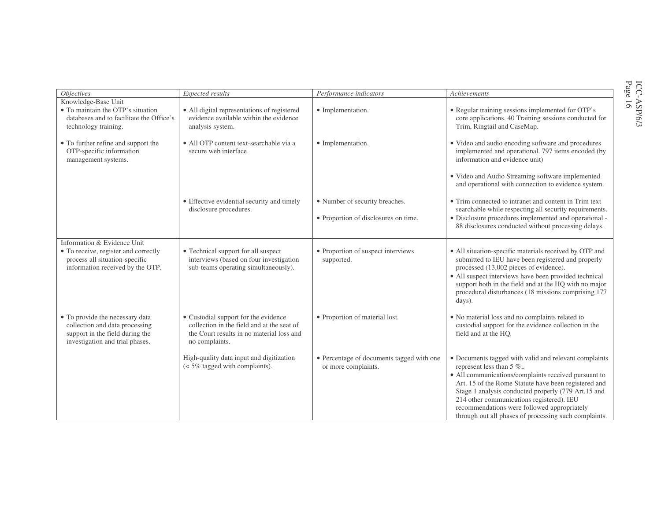| <i>Objectives</i>                                                                                                                       | Expected results                                                                                                                                  | Performance indicators                                           | Achievements                                                                                                                                                                                                                                                                                                                                                                                                      |
|-----------------------------------------------------------------------------------------------------------------------------------------|---------------------------------------------------------------------------------------------------------------------------------------------------|------------------------------------------------------------------|-------------------------------------------------------------------------------------------------------------------------------------------------------------------------------------------------------------------------------------------------------------------------------------------------------------------------------------------------------------------------------------------------------------------|
| Knowledge-Base Unit                                                                                                                     |                                                                                                                                                   |                                                                  |                                                                                                                                                                                                                                                                                                                                                                                                                   |
| • To maintain the OTP's situation<br>databases and to facilitate the Office's<br>technology training.                                   | • All digital representations of registered<br>evidence available within the evidence<br>analysis system.                                         | • Implementation.                                                | • Regular training sessions implemented for OTP's<br>core applications. 40 Training sessions conducted for<br>Trim, Ringtail and CaseMap.                                                                                                                                                                                                                                                                         |
| • To further refine and support the<br>OTP-specific information<br>management systems.                                                  | • All OTP content text-searchable via a<br>secure web interface.                                                                                  | • Implementation.                                                | • Video and audio encoding software and procedures<br>implemented and operational. 797 items encoded (by<br>information and evidence unit)                                                                                                                                                                                                                                                                        |
|                                                                                                                                         |                                                                                                                                                   |                                                                  | • Video and Audio Streaming software implemented<br>and operational with connection to evidence system.                                                                                                                                                                                                                                                                                                           |
|                                                                                                                                         | • Effective evidential security and timely<br>disclosure procedures.                                                                              | • Number of security breaches.                                   | • Trim connected to intranet and content in Trim text<br>searchable while respecting all security requirements.                                                                                                                                                                                                                                                                                                   |
|                                                                                                                                         |                                                                                                                                                   | • Proportion of disclosures on time.                             | · Disclosure procedures implemented and operational -<br>88 disclosures conducted without processing delays.                                                                                                                                                                                                                                                                                                      |
| Information & Evidence Unit                                                                                                             |                                                                                                                                                   |                                                                  |                                                                                                                                                                                                                                                                                                                                                                                                                   |
| • To receive, register and correctly<br>process all situation-specific<br>information received by the OTP.                              | • Technical support for all suspect<br>interviews (based on four investigation<br>sub-teams operating simultaneously).                            | • Proportion of suspect interviews<br>supported.                 | • All situation-specific materials received by OTP and<br>submitted to IEU have been registered and properly<br>processed (13,002 pieces of evidence).<br>• All suspect interviews have been provided technical<br>support both in the field and at the HQ with no major<br>procedural disturbances (18 missions comprising 177<br>days).                                                                         |
| • To provide the necessary data<br>collection and data processing<br>support in the field during the<br>investigation and trial phases. | • Custodial support for the evidence<br>collection in the field and at the seat of<br>the Court results in no material loss and<br>no complaints. | • Proportion of material lost.                                   | • No material loss and no complaints related to<br>custodial support for the evidence collection in the<br>field and at the HQ.                                                                                                                                                                                                                                                                                   |
|                                                                                                                                         | High-quality data input and digitization<br>$\approx 5\%$ tagged with complaints).                                                                | • Percentage of documents tagged with one<br>or more complaints. | • Documents tagged with valid and relevant complaints<br>represent less than 5 $\%$ ;<br>· All communications/complaints received pursuant to<br>Art. 15 of the Rome Statute have been registered and<br>Stage 1 analysis conducted properly (779 Art.15 and<br>214 other communications registered). IEU<br>recommendations were followed appropriately<br>through out all phases of processing such complaints. |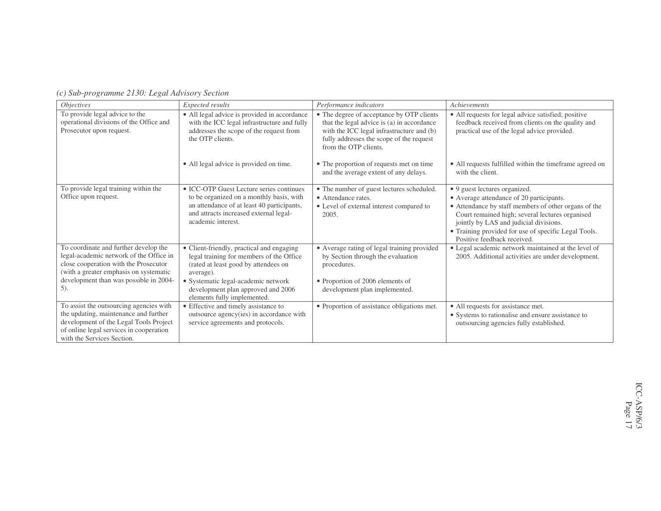| <i>Objectives</i>                                                                                                                                                                                             | Expected results                                                                                                                                                                                   | Performance indicators                                                                                                                                                                                    | Achievements                                                                                                                                                                                                                                                                                                          |
|---------------------------------------------------------------------------------------------------------------------------------------------------------------------------------------------------------------|----------------------------------------------------------------------------------------------------------------------------------------------------------------------------------------------------|-----------------------------------------------------------------------------------------------------------------------------------------------------------------------------------------------------------|-----------------------------------------------------------------------------------------------------------------------------------------------------------------------------------------------------------------------------------------------------------------------------------------------------------------------|
| To provide legal advice to the<br>operational divisions of the Office and<br>Prosecutor upon request.                                                                                                         | • All legal advice is provided in accordance<br>with the ICC legal infrastructure and fully<br>addresses the scope of the request from<br>the OTP clients.                                         | • The degree of acceptance by OTP clients<br>that the legal advice is (a) in accordance<br>with the ICC legal infrastructure and (b)<br>fully addresses the scope of the request<br>from the OTP clients. | • All requests for legal advice satisfied; positive<br>feedback received from clients on the quality and<br>practical use of the legal advice provided.                                                                                                                                                               |
|                                                                                                                                                                                                               | • All legal advice is provided on time.                                                                                                                                                            | • The proportion of requests met on time<br>and the average extent of any delays.                                                                                                                         | • All requests fulfilled within the timeframe agreed on<br>with the client.                                                                                                                                                                                                                                           |
| To provide legal training within the<br>Office upon request.                                                                                                                                                  | • ICC-OTP Guest Lecture series continues<br>to be organized on a monthly basis, with<br>an attendance of at least 40 participants,<br>and attracts increased external legal-<br>academic interest. | • The number of guest lectures scheduled.<br>• Attendance rates.<br>• Level of external interest compared to<br>2005.                                                                                     | • 9 guest lectures organized.<br>• Average attendance of 20 participants.<br>• Attendance by staff members of other organs of the<br>Court remained high; several lectures organised<br>jointly by LAS and judicial divisions.<br>• Training provided for use of specific Legal Tools.<br>Positive feedback received. |
| To coordinate and further develop the<br>legal-academic network of the Office in<br>close cooperation with the Prosecutor<br>(with a greater emphasis on systematic<br>development than was possible in 2004- | • Client-friendly, practical and engaging<br>legal training for members of the Office<br>(rated at least good by attendees on<br>average).<br>• Systematic legal-academic network                  | • Average rating of legal training provided<br>by Section through the evaluation<br>procedures.<br>• Proportion of 2006 elements of                                                                       | · Legal academic network maintained at the level of<br>2005. Additional activities are under development.                                                                                                                                                                                                             |
| $5$ ).                                                                                                                                                                                                        | development plan approved and 2006<br>elements fully implemented.                                                                                                                                  | development plan implemented.                                                                                                                                                                             |                                                                                                                                                                                                                                                                                                                       |
| To assist the outsourcing agencies with<br>the updating, maintenance and further<br>development of the Legal Tools Project<br>of online legal services in cooperation<br>with the Services Section.           | • Effective and timely assistance to<br>outsource agency(ies) in accordance with<br>service agreements and protocols.                                                                              | • Proportion of assistance obligations met.                                                                                                                                                               | • All requests for assistance met.<br>• Systems to rationalise and ensure assistance to<br>outsourcing agencies fully established.                                                                                                                                                                                    |

*(c) Sub-programme 2130: Legal Advisory Section*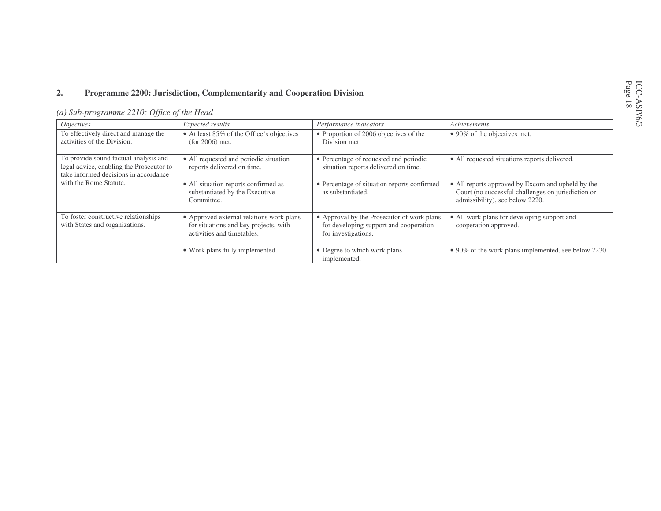#### **2.Programme 2200: Jurisdiction, Complementarity and Cooperation Division**

| <i><b>Objectives</b></i>                                                                                                   | Expected results                                                                                                | Performance indicators                                                                                      | Achievements                                                                                                                               |
|----------------------------------------------------------------------------------------------------------------------------|-----------------------------------------------------------------------------------------------------------------|-------------------------------------------------------------------------------------------------------------|--------------------------------------------------------------------------------------------------------------------------------------------|
| To effectively direct and manage the<br>activities of the Division.                                                        | • At least 85% of the Office's objectives<br>$(for 2006)$ met.                                                  | • Proportion of 2006 objectives of the<br>Division met.                                                     | $\bullet$ 90% of the objectives met.                                                                                                       |
| To provide sound factual analysis and<br>legal advice, enabling the Prosecutor to<br>take informed decisions in accordance | • All requested and periodic situation<br>reports delivered on time.                                            | • Percentage of requested and periodic<br>situation reports delivered on time.                              | • All requested situations reports delivered.                                                                                              |
| with the Rome Statute.                                                                                                     | • All situation reports confirmed as<br>substantiated by the Executive<br>Committee.                            | • Percentage of situation reports confirmed<br>as substantiated.                                            | • All reports approved by Excom and upheld by the<br>Court (no successful challenges on jurisdiction or<br>admissibility), see below 2220. |
| To foster constructive relationships<br>with States and organizations.                                                     | • Approved external relations work plans<br>for situations and key projects, with<br>activities and timetables. | • Approval by the Prosecutor of work plans<br>for developing support and cooperation<br>for investigations. | • All work plans for developing support and<br>cooperation approved.                                                                       |
|                                                                                                                            | • Work plans fully implemented.                                                                                 | • Degree to which work plans<br>implemented.                                                                | • 90% of the work plans implemented, see below 2230.                                                                                       |

## *(a) Sub-programme 2210: Office of the Head*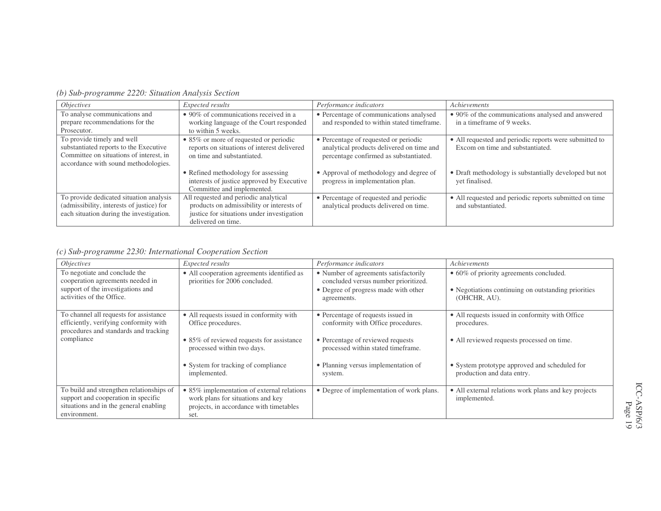| <i>Objectives</i>                                                                                                                                       | Expected results                                                                                                                                       | Performance indicators                                                                                                       | Achievements                                                                               |
|---------------------------------------------------------------------------------------------------------------------------------------------------------|--------------------------------------------------------------------------------------------------------------------------------------------------------|------------------------------------------------------------------------------------------------------------------------------|--------------------------------------------------------------------------------------------|
| To analyse communications and<br>prepare recommendations for the                                                                                        | $\bullet$ 90% of communications received in a                                                                                                          | • Percentage of communications analysed<br>and responded to within stated timeframe.                                         | • 90% of the communications analysed and answered<br>in a timeframe of 9 weeks.            |
| Prosecutor.                                                                                                                                             | working language of the Court responded<br>to within 5 weeks.                                                                                          |                                                                                                                              |                                                                                            |
| To provide timely and well<br>substantiated reports to the Executive<br>Committee on situations of interest, in<br>accordance with sound methodologies. | • 85% or more of requested or periodic<br>reports on situations of interest delivered<br>on time and substantiated.                                    | • Percentage of requested or periodic<br>analytical products delivered on time and<br>percentage confirmed as substantiated. | • All requested and periodic reports were submitted to<br>Excom on time and substantiated. |
|                                                                                                                                                         | • Refined methodology for assessing<br>interests of justice approved by Executive<br>Committee and implemented.                                        | • Approval of methodology and degree of<br>progress in implementation plan.                                                  | • Draft methodology is substantially developed but not<br>yet finalised.                   |
| To provide dedicated situation analysis<br>(admissibility, interests of justice) for<br>each situation during the investigation.                        | All requested and periodic analytical<br>products on admissibility or interests of<br>justice for situations under investigation<br>delivered on time. | • Percentage of requested and periodic<br>analytical products delivered on time.                                             | • All requested and periodic reports submitted on time<br>and substantiated.               |

*(b) Sub-programme 2220: Situation Analysis Section*

## *(c) Sub-programme 2230: International Cooperation Section*

| <i>Objectives</i>                                                                                                                         | Expected results                                                                                                                   | Performance indicators                                                                                                               | Achievements                                                                                                   |
|-------------------------------------------------------------------------------------------------------------------------------------------|------------------------------------------------------------------------------------------------------------------------------------|--------------------------------------------------------------------------------------------------------------------------------------|----------------------------------------------------------------------------------------------------------------|
| To negotiate and conclude the<br>cooperation agreements needed in<br>support of the investigations and<br>activities of the Office.       | • All cooperation agreements identified as<br>priorities for 2006 concluded.                                                       | • Number of agreements satisfactorily<br>concluded versus number prioritized.<br>• Degree of progress made with other<br>agreements. | • 60% of priority agreements concluded.<br>• Negotiations continuing on outstanding priorities<br>(OHCHR, AU). |
| To channel all requests for assistance<br>efficiently, verifying conformity with<br>procedures and standards and tracking                 | • All requests issued in conformity with<br>Office procedures.                                                                     | • Percentage of requests issued in<br>conformity with Office procedures.                                                             | • All requests issued in conformity with Office<br>procedures.                                                 |
| compliance                                                                                                                                | • 85% of reviewed requests for assistance<br>processed within two days.                                                            | • Percentage of reviewed requests<br>processed within stated timeframe.                                                              | • All reviewed requests processed on time.                                                                     |
|                                                                                                                                           | • System for tracking of compliance<br>implemented.                                                                                | • Planning versus implementation of<br>system.                                                                                       | • System prototype approved and scheduled for<br>production and data entry.                                    |
| To build and strengthen relationships of<br>support and cooperation in specific<br>situations and in the general enabling<br>environment. | • 85% implementation of external relations<br>work plans for situations and key<br>projects, in accordance with timetables<br>set. | • Degree of implementation of work plans.                                                                                            | • All external relations work plans and key projects<br>implemented.                                           |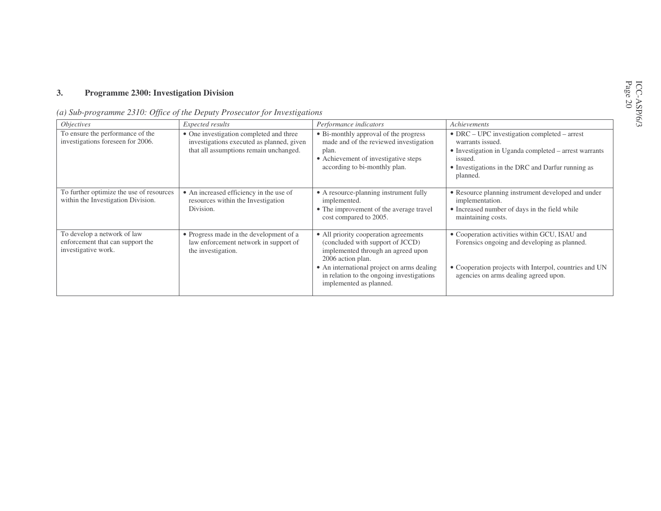#### **3.Programme 2300: Investigation Division**

| (a) Sub-programme 2310: Office of the Deputy Prosecutor for Investigations |  |  |
|----------------------------------------------------------------------------|--|--|
|                                                                            |  |  |

| <i><b>Objectives</b></i>                                                               | Expected results                                                                                                               | Performance indicators                                                                                                                                                                                                                                     | Achievements                                                                                                                                                                                                  |
|----------------------------------------------------------------------------------------|--------------------------------------------------------------------------------------------------------------------------------|------------------------------------------------------------------------------------------------------------------------------------------------------------------------------------------------------------------------------------------------------------|---------------------------------------------------------------------------------------------------------------------------------------------------------------------------------------------------------------|
| To ensure the performance of the<br>investigations foreseen for 2006.                  | • One investigation completed and three<br>investigations executed as planned, given<br>that all assumptions remain unchanged. | • Bi-monthly approval of the progress<br>made and of the reviewed investigation<br>plan.<br>• Achievement of investigative steps<br>according to bi-monthly plan.                                                                                          | $\bullet$ DRC – UPC investigation completed – arrest<br>warrants issued.<br>• Investigation in Uganda completed - arrest warrants<br>issued.<br>• Investigations in the DRC and Darfur running as<br>planned. |
| To further optimize the use of resources<br>within the Investigation Division.         | • An increased efficiency in the use of<br>resources within the Investigation<br>Division.                                     | • A resource-planning instrument fully<br>implemented.<br>• The improvement of the average travel<br>cost compared to 2005.                                                                                                                                | • Resource planning instrument developed and under<br>implementation.<br>• Increased number of days in the field while<br>maintaining costs.                                                                  |
| To develop a network of law<br>enforcement that can support the<br>investigative work. | • Progress made in the development of a<br>law enforcement network in support of<br>the investigation.                         | • All priority cooperation agreements<br>(concluded with support of JCCD)<br>implemented through an agreed upon<br>2006 action plan.<br>• An international project on arms dealing<br>in relation to the ongoing investigations<br>implemented as planned. | • Cooperation activities within GCU, ISAU and<br>Forensics ongoing and developing as planned.<br>• Cooperation projects with Interpol, countries and UN<br>agencies on arms dealing agreed upon.              |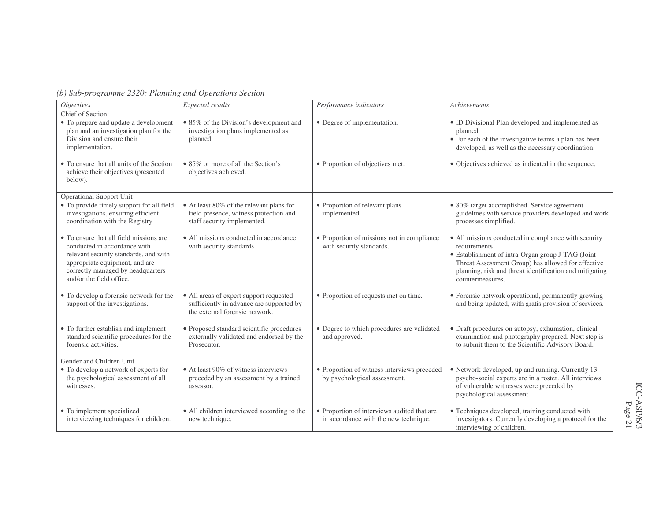| o) Suo programme 2520. I amming ana Operanons Secuon                                                                                                                                                                |                                                                                                                       |                                                                                      |                                                                                                                                                                                                                                                                 |
|---------------------------------------------------------------------------------------------------------------------------------------------------------------------------------------------------------------------|-----------------------------------------------------------------------------------------------------------------------|--------------------------------------------------------------------------------------|-----------------------------------------------------------------------------------------------------------------------------------------------------------------------------------------------------------------------------------------------------------------|
| <i>Objectives</i>                                                                                                                                                                                                   | Expected results                                                                                                      | Performance indicators                                                               | Achievements                                                                                                                                                                                                                                                    |
| Chief of Section:<br>• To prepare and update a development<br>plan and an investigation plan for the<br>Division and ensure their<br>implementation.                                                                | • 85% of the Division's development and<br>investigation plans implemented as<br>planned.                             | • Degree of implementation.                                                          | • ID Divisional Plan developed and implemented as<br>planned.<br>• For each of the investigative teams a plan has been<br>developed, as well as the necessary coordination.                                                                                     |
| • To ensure that all units of the Section<br>achieve their objectives (presented<br>below).                                                                                                                         | • 85% or more of all the Section's<br>objectives achieved.                                                            | • Proportion of objectives met.                                                      | • Objectives achieved as indicated in the sequence.                                                                                                                                                                                                             |
| <b>Operational Support Unit</b><br>• To provide timely support for all field<br>investigations, ensuring efficient<br>coordination with the Registry                                                                | • At least 80% of the relevant plans for<br>field presence, witness protection and<br>staff security implemented.     | • Proportion of relevant plans<br>implemented.                                       | • 80% target accomplished. Service agreement<br>guidelines with service providers developed and work<br>processes simplified.                                                                                                                                   |
| • To ensure that all field missions are<br>conducted in accordance with<br>relevant security standards, and with<br>appropriate equipment, and are<br>correctly managed by headquarters<br>and/or the field office. | • All missions conducted in accordance<br>with security standards.                                                    | • Proportion of missions not in compliance<br>with security standards.               | • All missions conducted in compliance with security<br>requirements.<br>• Establishment of intra-Organ group J-TAG (Joint<br>Threat Assessment Group) has allowed for effective<br>planning, risk and threat identification and mitigating<br>countermeasures. |
| • To develop a forensic network for the<br>support of the investigations.                                                                                                                                           | • All areas of expert support requested<br>sufficiently in advance are supported by<br>the external forensic network. | • Proportion of requests met on time.                                                | • Forensic network operational, permanently growing<br>and being updated, with gratis provision of services.                                                                                                                                                    |
| • To further establish and implement<br>standard scientific procedures for the<br>forensic activities.                                                                                                              | • Proposed standard scientific procedures<br>externally validated and endorsed by the<br>Prosecutor.                  | • Degree to which procedures are validated<br>and approved.                          | · Draft procedures on autopsy, exhumation, clinical<br>examination and photography prepared. Next step is<br>to submit them to the Scientific Advisory Board.                                                                                                   |
| Gender and Children Unit<br>• To develop a network of experts for<br>the psychological assessment of all<br>witnesses.                                                                                              | • At least 90% of witness interviews<br>preceded by an assessment by a trained<br>assessor.                           | • Proportion of witness interviews preceded<br>by psychological assessment.          | • Network developed, up and running. Currently 13<br>psycho-social experts are in a roster. All interviews<br>of vulnerable witnesses were preceded by<br>psychological assessment.                                                                             |
| • To implement specialized<br>interviewing techniques for children.                                                                                                                                                 | • All children interviewed according to the<br>new technique.                                                         | • Proportion of interviews audited that are<br>in accordance with the new technique. | • Techniques developed, training conducted with<br>investigators. Currently developing a protocol for the<br>interviewing of children.                                                                                                                          |

### *(b) Sub-programme 2320: Planning and Operations Section*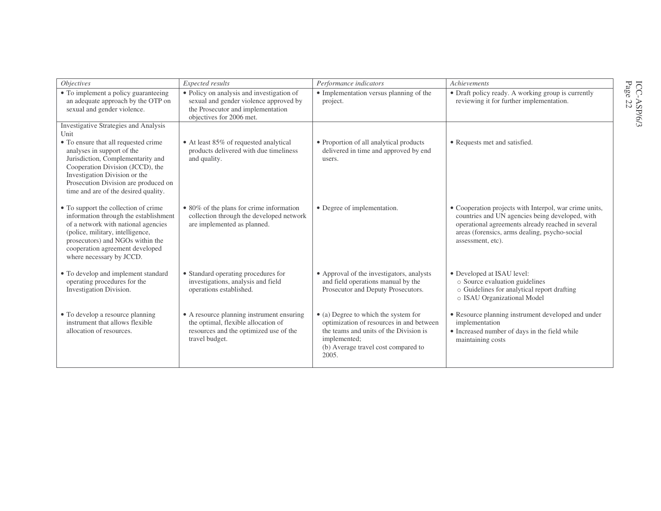| <i>Objectives</i>                                                                                                                                                                                                                                            | Expected results                                                                                                                                     | Performance indicators                                                                                                                                                                     | Achievements                                                                                                                                                                                                                         |
|--------------------------------------------------------------------------------------------------------------------------------------------------------------------------------------------------------------------------------------------------------------|------------------------------------------------------------------------------------------------------------------------------------------------------|--------------------------------------------------------------------------------------------------------------------------------------------------------------------------------------------|--------------------------------------------------------------------------------------------------------------------------------------------------------------------------------------------------------------------------------------|
| • To implement a policy guaranteeing<br>an adequate approach by the OTP on<br>sexual and gender violence.                                                                                                                                                    | • Policy on analysis and investigation of<br>sexual and gender violence approved by<br>the Prosecutor and implementation<br>objectives for 2006 met. | • Implementation versus planning of the<br>project.                                                                                                                                        | • Draft policy ready. A working group is currently<br>reviewing it for further implementation.                                                                                                                                       |
| <b>Investigative Strategies and Analysis</b><br>Unit                                                                                                                                                                                                         |                                                                                                                                                      |                                                                                                                                                                                            |                                                                                                                                                                                                                                      |
| • To ensure that all requested crime<br>analyses in support of the<br>Jurisdiction, Complementarity and<br>Cooperation Division (JCCD), the<br>Investigation Division or the<br>Prosecution Division are produced on<br>time and are of the desired quality. | • At least 85% of requested analytical<br>products delivered with due timeliness<br>and quality.                                                     | • Proportion of all analytical products<br>delivered in time and approved by end<br>users.                                                                                                 | • Requests met and satisfied.                                                                                                                                                                                                        |
| • To support the collection of crime<br>information through the establishment<br>of a network with national agencies<br>(police, military, intelligence,<br>prosecutors) and NGOs within the<br>cooperation agreement developed<br>where necessary by JCCD.  | • 80% of the plans for crime information<br>collection through the developed network<br>are implemented as planned.                                  | • Degree of implementation.                                                                                                                                                                | • Cooperation projects with Interpol, war crime units,<br>countries and UN agencies being developed, with<br>operational agreements already reached in several<br>areas (forensics, arms dealing, psycho-social<br>assessment, etc). |
| • To develop and implement standard<br>operating procedures for the<br>Investigation Division.                                                                                                                                                               | • Standard operating procedures for<br>investigations, analysis and field<br>operations established.                                                 | • Approval of the investigators, analysts<br>and field operations manual by the<br>Prosecutor and Deputy Prosecutors.                                                                      | • Developed at ISAU level:<br>o Source evaluation guidelines<br>o Guidelines for analytical report drafting<br>o ISAU Organizational Model                                                                                           |
| • To develop a resource planning<br>instrument that allows flexible<br>allocation of resources.                                                                                                                                                              | • A resource planning instrument ensuring<br>the optimal, flexible allocation of<br>resources and the optimized use of the<br>travel budget.         | • (a) Degree to which the system for<br>optimization of resources in and between<br>the teams and units of the Division is<br>implemented;<br>(b) Average travel cost compared to<br>2005. | • Resource planning instrument developed and under<br>implementation<br>• Increased number of days in the field while<br>maintaining costs                                                                                           |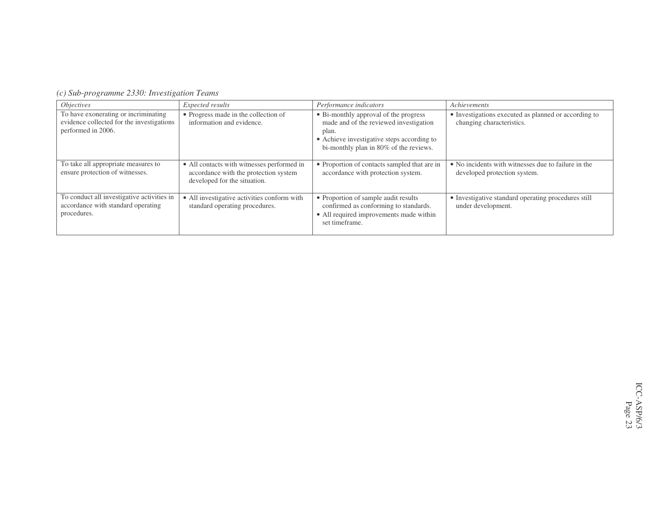|  |  |  | (c) Sub-programme 2330: Investigation Teams |  |
|--|--|--|---------------------------------------------|--|
|--|--|--|---------------------------------------------|--|

| <i>Objectives</i>                                                                                       | Expected results                                                                                                    | Performance indicators                                                                                                                                                           | Achievements                                                                        |
|---------------------------------------------------------------------------------------------------------|---------------------------------------------------------------------------------------------------------------------|----------------------------------------------------------------------------------------------------------------------------------------------------------------------------------|-------------------------------------------------------------------------------------|
| To have exonerating or incriminating<br>evidence collected for the investigations<br>performed in 2006. | • Progress made in the collection of<br>information and evidence.                                                   | • Bi-monthly approval of the progress<br>made and of the reviewed investigation<br>plan.<br>• Achieve investigative steps according to<br>bi-monthly plan in 80% of the reviews. | • Investigations executed as planned or according to<br>changing characteristics.   |
| To take all appropriate measures to<br>ensure protection of witnesses.                                  | • All contacts with witnesses performed in<br>accordance with the protection system<br>developed for the situation. | • Proportion of contacts sampled that are in<br>accordance with protection system.                                                                                               | • No incidents with witnesses due to failure in the<br>developed protection system. |
| To conduct all investigative activities in<br>accordance with standard operating<br>procedures.         | • All investigative activities conform with<br>standard operating procedures.                                       | • Proportion of sample audit results<br>confirmed as conforming to standards.<br>• All required improvements made within<br>set timeframe.                                       | • Investigative standard operating procedures still<br>under development.           |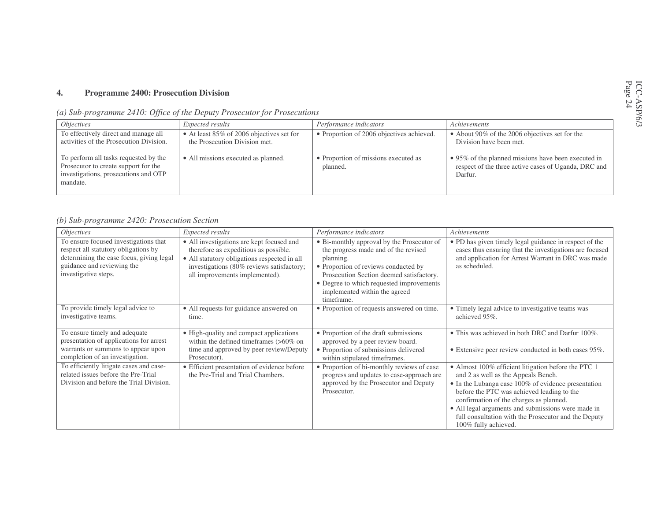#### **4.Programme 2400: Prosecution Division**

| (a) Sub-programme 2410: Office of the Deputy Prosecutor for Prosecutions |  |  |  |
|--------------------------------------------------------------------------|--|--|--|
|                                                                          |  |  |  |

| <i>Objectives</i>                                                                                                                 | Expected results                                                           | Performance indicators                           | Achievements                                                                                                           |
|-----------------------------------------------------------------------------------------------------------------------------------|----------------------------------------------------------------------------|--------------------------------------------------|------------------------------------------------------------------------------------------------------------------------|
| To effectively direct and manage all<br>activities of the Prosecution Division.                                                   | • At least 85% of 2006 objectives set for<br>the Prosecution Division met. | • Proportion of 2006 objectives achieved.        | • About 90% of the 2006 objectives set for the<br>Division have been met.                                              |
| To perform all tasks requested by the<br>Prosecutor to create support for the<br>investigations, prosecutions and OTP<br>mandate. | • All missions executed as planned.                                        | • Proportion of missions executed as<br>planned. | • 95% of the planned missions have been executed in<br>respect of the three active cases of Uganda, DRC and<br>Darfur. |

### *(b) Sub-programme 2420: Prosecution Section*

| <i><b>Objectives</b></i>                                                                                                                                                        | Expected results                                                                                                                                                                                                  | Performance indicators                                                                                                                                                                                                                                                         | Achievements                                                                                                                                                                                                                                                                                                                                                                     |
|---------------------------------------------------------------------------------------------------------------------------------------------------------------------------------|-------------------------------------------------------------------------------------------------------------------------------------------------------------------------------------------------------------------|--------------------------------------------------------------------------------------------------------------------------------------------------------------------------------------------------------------------------------------------------------------------------------|----------------------------------------------------------------------------------------------------------------------------------------------------------------------------------------------------------------------------------------------------------------------------------------------------------------------------------------------------------------------------------|
| To ensure focused investigations that<br>respect all statutory obligations by<br>determining the case focus, giving legal<br>guidance and reviewing the<br>investigative steps. | • All investigations are kept focused and<br>therefore as expeditious as possible.<br>• All statutory obligations respected in all<br>investigations (80% reviews satisfactory;<br>all improvements implemented). | • Bi-monthly approval by the Prosecutor of<br>the progress made and of the revised<br>planning.<br>• Proportion of reviews conducted by<br>Prosecution Section deemed satisfactory.<br>• Degree to which requested improvements<br>implemented within the agreed<br>timeframe. | • PD has given timely legal guidance in respect of the<br>cases thus ensuring that the investigations are focused<br>and application for Arrest Warrant in DRC was made<br>as scheduled.                                                                                                                                                                                         |
| To provide timely legal advice to<br>investigative teams.                                                                                                                       | • All requests for guidance answered on<br>time.                                                                                                                                                                  | • Proportion of requests answered on time.                                                                                                                                                                                                                                     | • Timely legal advice to investigative teams was<br>achieved 95%.                                                                                                                                                                                                                                                                                                                |
| To ensure timely and adequate<br>presentation of applications for arrest<br>warrants or summons to appear upon<br>completion of an investigation.                               | • High-quality and compact applications<br>within the defined time<br>frames $(>60\%$ on<br>time and approved by peer review/Deputy<br>Prosecutor).                                                               | • Proportion of the draft submissions<br>approved by a peer review board.<br>· Proportion of submissions delivered<br>within stipulated timeframes.                                                                                                                            | • This was achieved in both DRC and Darfur 100%.<br>• Extensive peer review conducted in both cases 95%.                                                                                                                                                                                                                                                                         |
| To efficiently litigate cases and case-<br>related issues before the Pre-Trial<br>Division and before the Trial Division.                                                       | • Efficient presentation of evidence before<br>the Pre-Trial and Trial Chambers.                                                                                                                                  | • Proportion of bi-monthly reviews of case<br>progress and updates to case-approach are<br>approved by the Prosecutor and Deputy<br>Prosecutor.                                                                                                                                | • Almost 100% efficient litigation before the PTC 1<br>and 2 as well as the Appeals Bench.<br>• In the Lubanga case 100% of evidence presentation<br>before the PTC was achieved leading to the<br>confirmation of the charges as planned.<br>• All legal arguments and submissions were made in<br>full consultation with the Prosecutor and the Deputy<br>100% fully achieved. |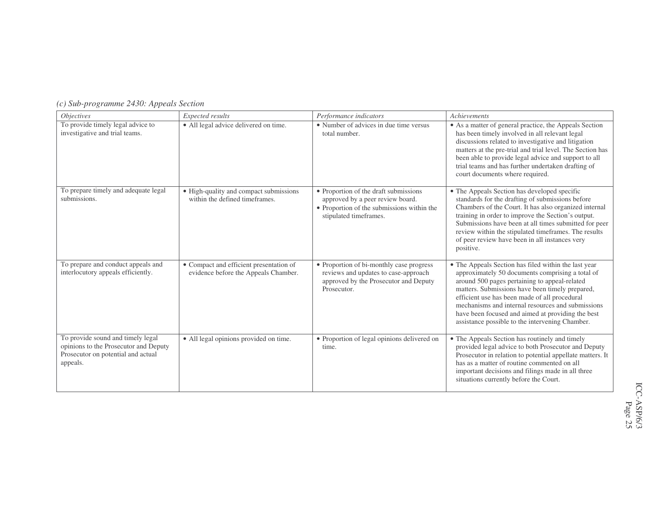|  |  | (c) Sub-programme 2430: Appeals Section |  |
|--|--|-----------------------------------------|--|
|--|--|-----------------------------------------|--|

| <i>Objectives</i>                                                                                                            | Expected results                                                                | Performance indicators                                                                                                                            | Achievements                                                                                                                                                                                                                                                                                                                                                                                                               |
|------------------------------------------------------------------------------------------------------------------------------|---------------------------------------------------------------------------------|---------------------------------------------------------------------------------------------------------------------------------------------------|----------------------------------------------------------------------------------------------------------------------------------------------------------------------------------------------------------------------------------------------------------------------------------------------------------------------------------------------------------------------------------------------------------------------------|
| To provide timely legal advice to<br>investigative and trial teams.                                                          | • All legal advice delivered on time.                                           | • Number of advices in due time versus<br>total number.                                                                                           | • As a matter of general practice, the Appeals Section<br>has been timely involved in all relevant legal<br>discussions related to investigative and litigation<br>matters at the pre-trial and trial level. The Section has<br>been able to provide legal advice and support to all<br>trial teams and has further undertaken drafting of<br>court documents where required.                                              |
| To prepare timely and adequate legal<br>submissions.                                                                         | · High-quality and compact submissions<br>within the defined timeframes.        | • Proportion of the draft submissions<br>approved by a peer review board.<br>• Proportion of the submissions within the<br>stipulated timeframes. | • The Appeals Section has developed specific<br>standards for the drafting of submissions before<br>Chambers of the Court. It has also organized internal<br>training in order to improve the Section's output.<br>Submissions have been at all times submitted for peer<br>review within the stipulated timeframes. The results<br>of peer review have been in all instances very<br>positive.                            |
| To prepare and conduct appeals and<br>interlocutory appeals efficiently.                                                     | • Compact and efficient presentation of<br>evidence before the Appeals Chamber. | • Proportion of bi-monthly case progress<br>reviews and updates to case-approach<br>approved by the Prosecutor and Deputy<br>Prosecutor.          | • The Appeals Section has filed within the last year<br>approximately 50 documents comprising a total of<br>around 500 pages pertaining to appeal-related<br>matters. Submissions have been timely prepared,<br>efficient use has been made of all procedural<br>mechanisms and internal resources and submissions<br>have been focused and aimed at providing the best<br>assistance possible to the intervening Chamber. |
| To provide sound and timely legal<br>opinions to the Prosecutor and Deputy<br>Prosecutor on potential and actual<br>appeals. | • All legal opinions provided on time.                                          | • Proportion of legal opinions delivered on<br>time.                                                                                              | • The Appeals Section has routinely and timely<br>provided legal advice to both Prosecutor and Deputy<br>Prosecutor in relation to potential appellate matters. It<br>has as a matter of routine commented on all<br>important decisions and filings made in all three<br>situations currently before the Court.                                                                                                           |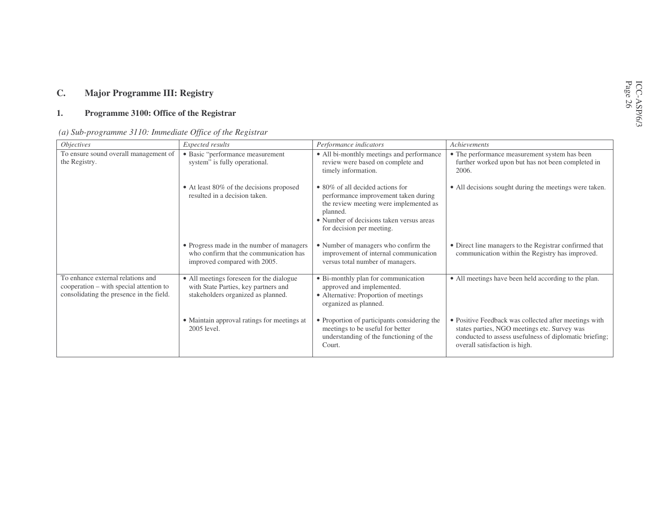### **C.Major Programme III: Registry**

#### **1.Programme 3100: Office of the Registrar**

| (a) Sub-programme $3110$ : Immediate Office of the Registrar |  |  |
|--------------------------------------------------------------|--|--|
|                                                              |  |  |

| <i>Objectives</i>                                                                                                        | Expected results                                                                                                       | Performance indicators                                                                                                                                                                                          | Achievements                                                                                                                                                                                     |
|--------------------------------------------------------------------------------------------------------------------------|------------------------------------------------------------------------------------------------------------------------|-----------------------------------------------------------------------------------------------------------------------------------------------------------------------------------------------------------------|--------------------------------------------------------------------------------------------------------------------------------------------------------------------------------------------------|
| To ensure sound overall management of<br>the Registry.                                                                   | • Basic "performance measurement<br>system" is fully operational.                                                      | • All bi-monthly meetings and performance<br>review were based on complete and<br>timely information.                                                                                                           | • The performance measurement system has been<br>further worked upon but has not been completed in<br>2006.                                                                                      |
|                                                                                                                          | • At least 80% of the decisions proposed<br>resulted in a decision taken.                                              | $\bullet$ 80% of all decided actions for<br>performance improvement taken during<br>the review meeting were implemented as<br>planned.<br>• Number of decisions taken versus areas<br>for decision per meeting. | • All decisions sought during the meetings were taken.                                                                                                                                           |
|                                                                                                                          | • Progress made in the number of managers<br>who confirm that the communication has<br>improved compared with 2005.    | • Number of managers who confirm the<br>improvement of internal communication<br>versus total number of managers.                                                                                               | • Direct line managers to the Registrar confirmed that<br>communication within the Registry has improved.                                                                                        |
| To enhance external relations and<br>cooperation – with special attention to<br>consolidating the presence in the field. | • All meetings foreseen for the dialogue<br>with State Parties, key partners and<br>stakeholders organized as planned. | • Bi-monthly plan for communication<br>approved and implemented.<br>• Alternative: Proportion of meetings<br>organized as planned.                                                                              | • All meetings have been held according to the plan.                                                                                                                                             |
|                                                                                                                          | • Maintain approval ratings for meetings at<br>2005 level.                                                             | • Proportion of participants considering the<br>meetings to be useful for better<br>understanding of the functioning of the<br>Court.                                                                           | • Positive Feedback was collected after meetings with<br>states parties, NGO meetings etc. Survey was<br>conducted to assess usefulness of diplomatic briefing;<br>overall satisfaction is high. |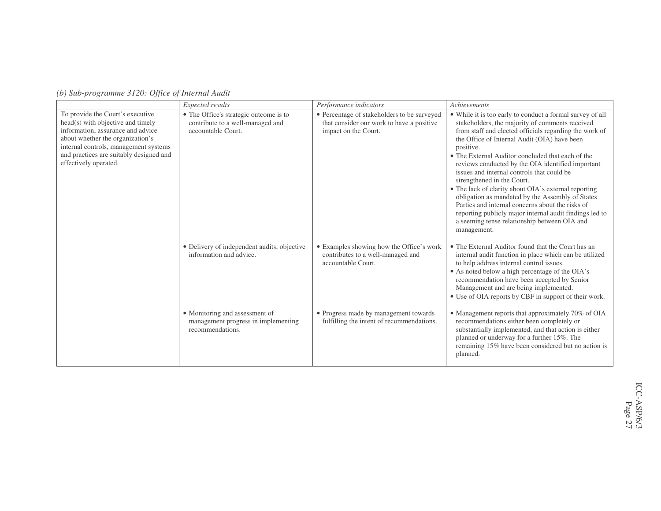|                                                                                                                                                                                                                                                             | <b>Expected results</b>                                                                          | Performance indicators                                                                                           | Achievements                                                                                                                                                                                                                                                                                                                                                                                                                                                                                                                                                                                                                                                                                                        |
|-------------------------------------------------------------------------------------------------------------------------------------------------------------------------------------------------------------------------------------------------------------|--------------------------------------------------------------------------------------------------|------------------------------------------------------------------------------------------------------------------|---------------------------------------------------------------------------------------------------------------------------------------------------------------------------------------------------------------------------------------------------------------------------------------------------------------------------------------------------------------------------------------------------------------------------------------------------------------------------------------------------------------------------------------------------------------------------------------------------------------------------------------------------------------------------------------------------------------------|
| To provide the Court's executive<br>head(s) with objective and timely<br>information, assurance and advice<br>about whether the organization's<br>internal controls, management systems<br>and practices are suitably designed and<br>effectively operated. | • The Office's strategic outcome is to<br>contribute to a well-managed and<br>accountable Court. | · Percentage of stakeholders to be surveyed<br>that consider our work to have a positive<br>impact on the Court. | • While it is too early to conduct a formal survey of all<br>stakeholders, the majority of comments received<br>from staff and elected officials regarding the work of<br>the Office of Internal Audit (OIA) have been<br>positive.<br>• The External Auditor concluded that each of the<br>reviews conducted by the OIA identified important<br>issues and internal controls that could be<br>strengthened in the Court.<br>• The lack of clarity about OIA's external reporting<br>obligation as mandated by the Assembly of States<br>Parties and internal concerns about the risks of<br>reporting publicly major internal audit findings led to<br>a seeming tense relationship between OIA and<br>management. |
|                                                                                                                                                                                                                                                             | • Delivery of independent audits, objective<br>information and advice.                           | • Examples showing how the Office's work<br>contributes to a well-managed and<br>accountable Court.              | • The External Auditor found that the Court has an<br>internal audit function in place which can be utilized<br>to help address internal control issues.<br>• As noted below a high percentage of the OIA's<br>recommendation have been accepted by Senior<br>Management and are being implemented.<br>• Use of OIA reports by CBF in support of their work.                                                                                                                                                                                                                                                                                                                                                        |
|                                                                                                                                                                                                                                                             | • Monitoring and assessment of<br>management progress in implementing<br>recommendations.        | • Progress made by management towards<br>fulfilling the intent of recommendations.                               | • Management reports that approximately 70% of OIA<br>recommendations either been completely or<br>substantially implemented, and that action is either<br>planned or underway for a further 15%. The<br>remaining 15% have been considered but no action is<br>planned.                                                                                                                                                                                                                                                                                                                                                                                                                                            |

*(b) Sub-programme 3120: Office of Internal Audit*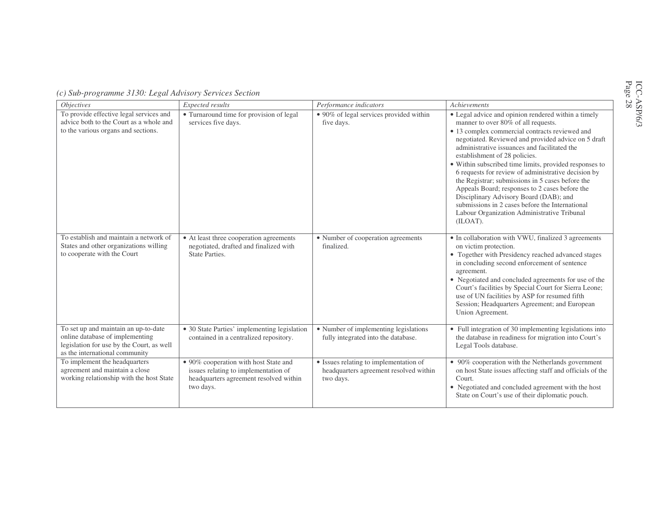|  | (c) Sub-programme 3130: Legal Advisory Services Section |  |
|--|---------------------------------------------------------|--|
|--|---------------------------------------------------------|--|

| <i>Objectives</i>                                                                                                                                      | Expected results                                                                                                                     | Performance indicators                                                                        | Achievements                                                                                                                                                                                                                                                                                                                                                                                                                                                                                                                                                                                                                                                        |
|--------------------------------------------------------------------------------------------------------------------------------------------------------|--------------------------------------------------------------------------------------------------------------------------------------|-----------------------------------------------------------------------------------------------|---------------------------------------------------------------------------------------------------------------------------------------------------------------------------------------------------------------------------------------------------------------------------------------------------------------------------------------------------------------------------------------------------------------------------------------------------------------------------------------------------------------------------------------------------------------------------------------------------------------------------------------------------------------------|
| To provide effective legal services and<br>advice both to the Court as a whole and<br>to the various organs and sections.                              | • Turnaround time for provision of legal<br>services five days.                                                                      | • 90% of legal services provided within<br>five days.                                         | • Legal advice and opinion rendered within a timely<br>manner to over 80% of all requests.<br>• 13 complex commercial contracts reviewed and<br>negotiated. Reviewed and provided advice on 5 draft<br>administrative issuances and facilitated the<br>establishment of 28 policies.<br>• Within subscribed time limits, provided responses to<br>6 requests for review of administrative decision by<br>the Registrar; submissions in 5 cases before the<br>Appeals Board; responses to 2 cases before the<br>Disciplinary Advisory Board (DAB); and<br>submissions in 2 cases before the International<br>Labour Organization Administrative Tribunal<br>(ILOAT). |
| To establish and maintain a network of<br>States and other organizations willing<br>to cooperate with the Court                                        | • At least three cooperation agreements<br>negotiated, drafted and finalized with<br>State Parties.                                  | • Number of cooperation agreements<br>finalized.                                              | • In collaboration with VWU, finalized 3 agreements<br>on victim protection.<br>• Together with Presidency reached advanced stages<br>in concluding second enforcement of sentence<br>agreement.<br>• Negotiated and concluded agreements for use of the<br>Court's facilities by Special Court for Sierra Leone;<br>use of UN facilities by ASP for resumed fifth<br>Session; Headquarters Agreement; and European<br>Union Agreement.                                                                                                                                                                                                                             |
| To set up and maintain an up-to-date<br>online database of implementing<br>legislation for use by the Court, as well<br>as the international community | • 30 State Parties' implementing legislation<br>contained in a centralized repository.                                               | • Number of implementing legislations<br>fully integrated into the database.                  | Full integration of 30 implementing legislations into<br>the database in readiness for migration into Court's<br>Legal Tools database.                                                                                                                                                                                                                                                                                                                                                                                                                                                                                                                              |
| To implement the headquarters<br>agreement and maintain a close<br>working relationship with the host State                                            | • 90% cooperation with host State and<br>issues relating to implementation of<br>headquarters agreement resolved within<br>two days. | • Issues relating to implementation of<br>headquarters agreement resolved within<br>two days. | • 90% cooperation with the Netherlands government<br>on host State issues affecting staff and officials of the<br>Court.<br>• Negotiated and concluded agreement with the host<br>State on Court's use of their diplomatic pouch.                                                                                                                                                                                                                                                                                                                                                                                                                                   |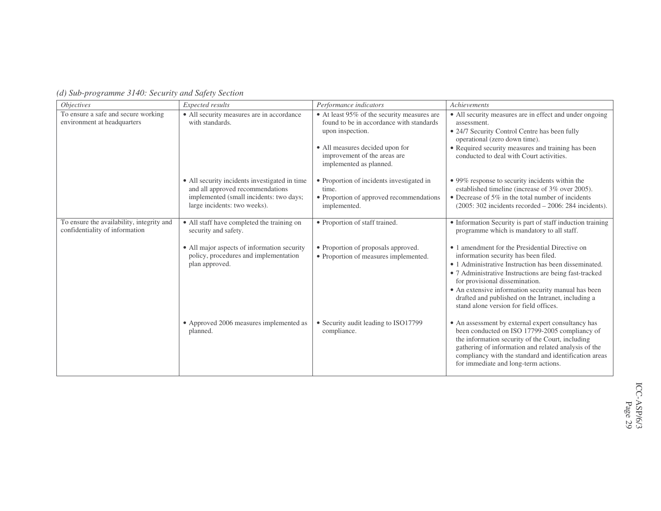| <i>Objectives</i>                                                           | Expected results                                                                                                                                             | Performance indicators                                                                                                                                                                                    | Achievements                                                                                                                                                                                                                                                                                                                                                                                        |
|-----------------------------------------------------------------------------|--------------------------------------------------------------------------------------------------------------------------------------------------------------|-----------------------------------------------------------------------------------------------------------------------------------------------------------------------------------------------------------|-----------------------------------------------------------------------------------------------------------------------------------------------------------------------------------------------------------------------------------------------------------------------------------------------------------------------------------------------------------------------------------------------------|
| To ensure a safe and secure working<br>environment at headquarters          | • All security measures are in accordance<br>with standards.                                                                                                 | • At least 95% of the security measures are<br>found to be in accordance with standards<br>upon inspection.<br>• All measures decided upon for<br>improvement of the areas are<br>implemented as planned. | • All security measures are in effect and under ongoing<br>assessment.<br>• 24/7 Security Control Centre has been fully<br>operational (zero down time).<br>• Required security measures and training has been<br>conducted to deal with Court activities.                                                                                                                                          |
|                                                                             | • All security incidents investigated in time<br>and all approved recommendations<br>implemented (small incidents: two days;<br>large incidents: two weeks). | • Proportion of incidents investigated in<br>time.<br>• Proportion of approved recommendations<br>implemented.                                                                                            | • 99% response to security incidents within the<br>established timeline (increase of 3% over 2005).<br>• Decrease of $5\%$ in the total number of incidents<br>$(2005: 302$ incidents recorded $- 2006: 284$ incidents).                                                                                                                                                                            |
| To ensure the availability, integrity and<br>confidentiality of information | • All staff have completed the training on<br>security and safety.                                                                                           | • Proportion of staff trained.                                                                                                                                                                            | • Information Security is part of staff induction training<br>programme which is mandatory to all staff.                                                                                                                                                                                                                                                                                            |
|                                                                             | • All major aspects of information security<br>policy, procedures and implementation<br>plan approved.                                                       | • Proportion of proposals approved.<br>• Proportion of measures implemented.                                                                                                                              | • 1 amendment for the Presidential Directive on<br>information security has been filed.<br>• 1 Administrative Instruction has been disseminated.<br>· 7 Administrative Instructions are being fast-tracked<br>for provisional dissemination.<br>• An extensive information security manual has been<br>drafted and published on the Intranet, including a<br>stand alone version for field offices. |
|                                                                             | • Approved 2006 measures implemented as<br>planned.                                                                                                          | • Security audit leading to ISO17799<br>compliance.                                                                                                                                                       | • An assessment by external expert consultancy has<br>been conducted on ISO 17799-2005 compliancy of<br>the information security of the Court, including<br>gathering of information and related analysis of the<br>compliancy with the standard and identification areas<br>for immediate and long-term actions.                                                                                   |

*(d) Sub-programme 3140: Security and Safety Section*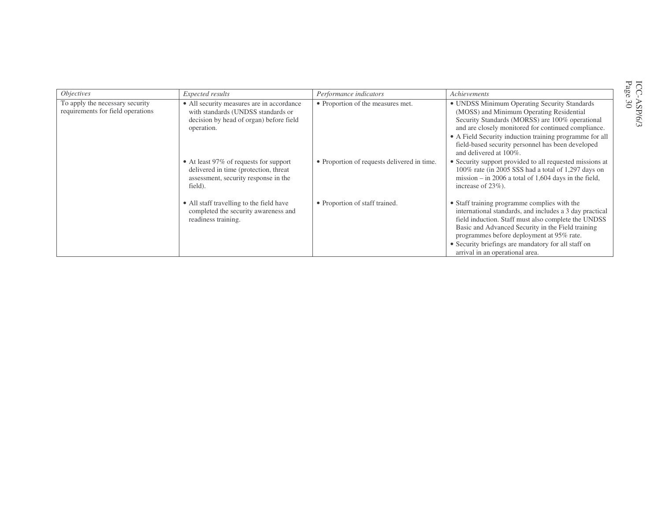| <i>Objectives</i>                                                    | Expected results                                                                                                                         | Performance indicators                      | Achievements                                                                                                                                                                                                                                                                                                                                               |
|----------------------------------------------------------------------|------------------------------------------------------------------------------------------------------------------------------------------|---------------------------------------------|------------------------------------------------------------------------------------------------------------------------------------------------------------------------------------------------------------------------------------------------------------------------------------------------------------------------------------------------------------|
| To apply the necessary security<br>requirements for field operations | • All security measures are in accordance<br>with standards (UNDSS standards or<br>decision by head of organ) before field<br>operation. | • Proportion of the measures met.           | • UNDSS Minimum Operating Security Standards<br>(MOSS) and Minimum Operating Residential<br>Security Standards (MORSS) are 100% operational<br>and are closely monitored for continued compliance.<br>• A Field Security induction training programme for all<br>field-based security personnel has been developed<br>and delivered at 100%.               |
|                                                                      | • At least 97% of requests for support<br>delivered in time (protection, threat<br>assessment, security response in the<br>field).       | • Proportion of requests delivered in time. | • Security support provided to all requested missions at<br>100% rate (in 2005 SSS had a total of 1,297 days on<br>mission $-$ in 2006 a total of 1,604 days in the field,<br>increase of $23\%$ ).                                                                                                                                                        |
|                                                                      | • All staff travelling to the field have<br>completed the security awareness and<br>readiness training.                                  | • Proportion of staff trained.              | • Staff training programme complies with the<br>international standards, and includes a 3 day practical<br>field induction. Staff must also complete the UNDSS<br>Basic and Advanced Security in the Field training<br>programmes before deployment at 95% rate.<br>• Security briefings are mandatory for all staff on<br>arrival in an operational area. |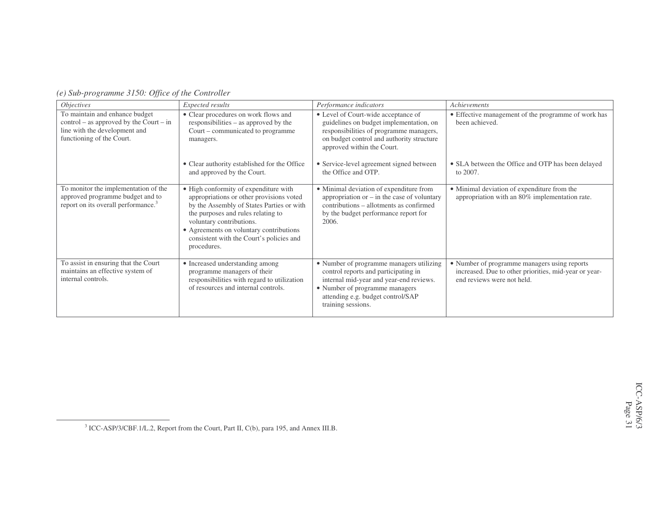| <i><b>Objectives</b></i>                                                                                                                  | Expected results                                                                                                                                                                                                                                                                                       | Performance indicators                                                                                                                                                                                                   | Achievements                                                                                                                        |  |  |  |
|-------------------------------------------------------------------------------------------------------------------------------------------|--------------------------------------------------------------------------------------------------------------------------------------------------------------------------------------------------------------------------------------------------------------------------------------------------------|--------------------------------------------------------------------------------------------------------------------------------------------------------------------------------------------------------------------------|-------------------------------------------------------------------------------------------------------------------------------------|--|--|--|
| To maintain and enhance budget<br>$control - as approved by the Court - in$<br>line with the development and<br>functioning of the Court. | • Clear procedures on work flows and<br>responsibilities – as approved by the<br>Court – communicated to programme<br>managers.                                                                                                                                                                        | • Level of Court-wide acceptance of<br>guidelines on budget implementation, on<br>responsibilities of programme managers,<br>on budget control and authority structure<br>approved within the Court.                     | • Effective management of the programme of work has<br>been achieved.                                                               |  |  |  |
|                                                                                                                                           | • Clear authority established for the Office<br>and approved by the Court.                                                                                                                                                                                                                             | • Service-level agreement signed between<br>the Office and OTP.                                                                                                                                                          | • SLA between the Office and OTP has been delayed<br>to 2007.                                                                       |  |  |  |
| To monitor the implementation of the<br>approved programme budget and to<br>report on its overall performance. <sup>3</sup>               | • High conformity of expenditure with<br>appropriations or other provisions voted<br>by the Assembly of States Parties or with<br>the purposes and rules relating to<br>voluntary contributions.<br>• Agreements on voluntary contributions<br>consistent with the Court's policies and<br>procedures. | • Minimal deviation of expenditure from<br>appropriation or $-$ in the case of voluntary<br>contributions – allotments as confirmed<br>by the budget performance report for<br>2006.                                     | · Minimal deviation of expenditure from the<br>appropriation with an 80% implementation rate.                                       |  |  |  |
| To assist in ensuring that the Court<br>maintains an effective system of<br>internal controls.                                            | • Increased understanding among<br>programme managers of their<br>responsibilities with regard to utilization<br>of resources and internal controls.                                                                                                                                                   | • Number of programme managers utilizing<br>control reports and participating in<br>internal mid-year and year-end reviews.<br>• Number of programme managers<br>attending e.g. budget control/SAP<br>training sessions. | • Number of programme managers using reports<br>increased. Due to other priorities, mid-year or year-<br>end reviews were not held. |  |  |  |

*(e) Sub-programme 3150: Office of the Controller*

 $3$  ICC-ASP/3/CBF.1/L.2, Report from the Court, Part II, C(b), para 195, and Annex III.B.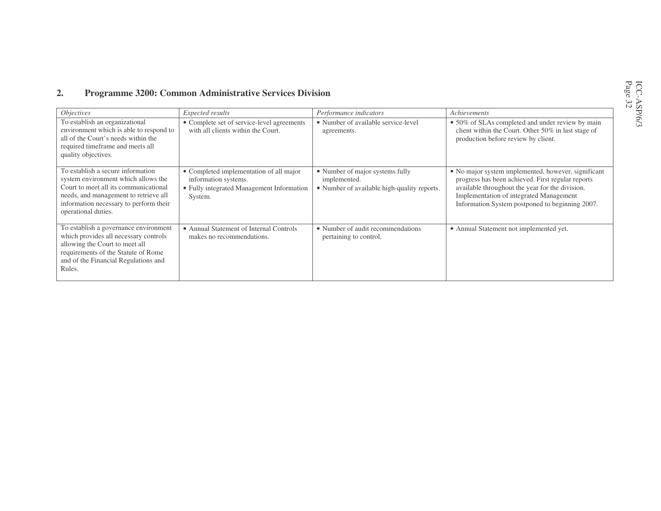#### **2.Programme 3200: Common Administrative Services Division**

| <i>Objectives</i>                                                                                                                                                                                                           | Expected results                                                                                                        | Performance indicators                                                                         | Achievements                                                                                                                                                                                                                                              |
|-----------------------------------------------------------------------------------------------------------------------------------------------------------------------------------------------------------------------------|-------------------------------------------------------------------------------------------------------------------------|------------------------------------------------------------------------------------------------|-----------------------------------------------------------------------------------------------------------------------------------------------------------------------------------------------------------------------------------------------------------|
| To establish an organizational<br>environment which is able to respond to<br>all of the Court's needs within the<br>required timeframe and meets all<br>quality objectives.                                                 | • Complete set of service-level agreements<br>with all clients within the Court.                                        | • Number of available service-level<br>agreements.                                             | • 50% of SLAs completed and under review by main<br>client within the Court. Other 50% in last stage of<br>production before review by client.                                                                                                            |
| To establish a secure information<br>system environment which allows the<br>Court to meet all its communicational<br>needs, and management to retrieve all<br>information necessary to perform their<br>operational duties. | • Completed implementation of all major<br>information systems.<br>• Fully integrated Management Information<br>System. | • Number of major systems fully<br>implemented.<br>• Number of available high-quality reports. | • No major system implemented, however, significant<br>progress has been achieved. First regular reports<br>available throughout the year for the division.<br>Implementation of integrated Management<br>Information System postponed to beginning 2007. |
| To establish a governance environment<br>which provides all necessary controls<br>allowing the Court to meet all<br>requirements of the Statute of Rome<br>and of the Financial Regulations and<br>Rules.                   | • Annual Statement of Internal Controls<br>makes no recommendations.                                                    | • Number of audit recommendations<br>pertaining to control.                                    | • Annual Statement not implemented yet.                                                                                                                                                                                                                   |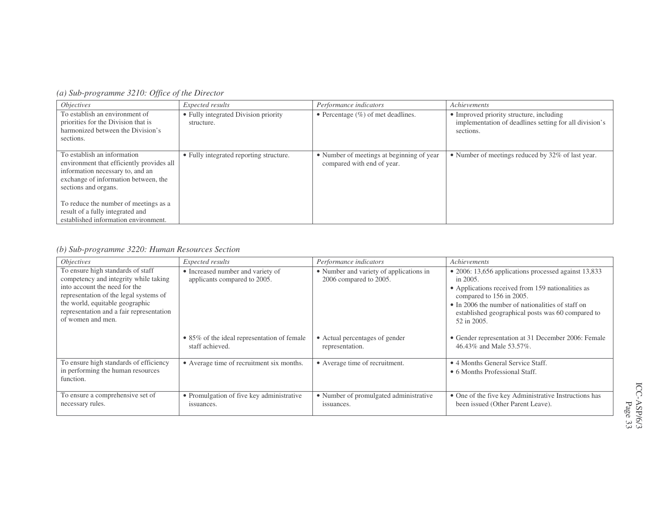*(a) Sub-programme 3210: Office of the Director*

| <i>Objectives</i>                                                                                                                                                            | Expected results                                   | Performance indicators                                                  | Achievements                                                                                                    |
|------------------------------------------------------------------------------------------------------------------------------------------------------------------------------|----------------------------------------------------|-------------------------------------------------------------------------|-----------------------------------------------------------------------------------------------------------------|
| To establish an environment of<br>priorities for the Division that is<br>harmonized between the Division's<br>sections.                                                      | • Fully integrated Division priority<br>structure. | • Percentage $(\%)$ of met deadlines.                                   | • Improved priority structure, including<br>implementation of deadlines setting for all division's<br>sections. |
| To establish an information<br>environment that efficiently provides all<br>information necessary to, and an<br>exchange of information between, the<br>sections and organs. | • Fully integrated reporting structure.            | • Number of meetings at beginning of year<br>compared with end of year. | • Number of meetings reduced by 32% of last year.                                                               |
| To reduce the number of meetings as a<br>result of a fully integrated and<br>established information environment.                                                            |                                                    |                                                                         |                                                                                                                 |

### *(b) Sub-programme 3220: Human Resources Section*

| <i>Objectives</i>                                                                                                                                                                                                                                         | Expected results                                                  | Performance indicators                                            | Achievements                                                                                                                                                                                                                                                                       |
|-----------------------------------------------------------------------------------------------------------------------------------------------------------------------------------------------------------------------------------------------------------|-------------------------------------------------------------------|-------------------------------------------------------------------|------------------------------------------------------------------------------------------------------------------------------------------------------------------------------------------------------------------------------------------------------------------------------------|
| To ensure high standards of staff<br>competency and integrity while taking<br>into account the need for the<br>representation of the legal systems of<br>the world, equitable geographic<br>representation and a fair representation<br>of women and men. | • Increased number and variety of<br>applicants compared to 2005. | • Number and variety of applications in<br>2006 compared to 2005. | $\bullet$ 2006: 13,656 applications processed against 13,833<br>in 2005.<br>• Applications received from 159 nationalities as<br>compared to 156 in 2005.<br>• In 2006 the number of nationalities of staff on<br>established geographical posts was 60 compared to<br>52 in 2005. |
|                                                                                                                                                                                                                                                           | • 85% of the ideal representation of female<br>staff achieved.    | • Actual percentages of gender<br>representation.                 | • Gender representation at 31 December 2006: Female<br>46.43% and Male 53.57%.                                                                                                                                                                                                     |
| To ensure high standards of efficiency<br>in performing the human resources<br>function.                                                                                                                                                                  | • Average time of recruitment six months.                         | • Average time of recruitment.                                    | • 4 Months General Service Staff.<br>• 6 Months Professional Staff.                                                                                                                                                                                                                |
| To ensure a comprehensive set of<br>necessary rules.                                                                                                                                                                                                      | • Promulgation of five key administrative<br>issuances.           | • Number of promulgated administrative<br>issuances.              | • One of the five key Administrative Instructions has<br>been issued (Other Parent Leave).                                                                                                                                                                                         |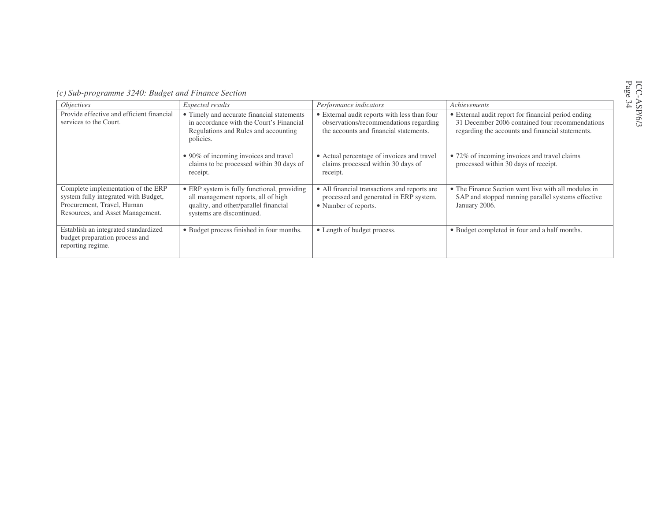| (c) Sub-programme 3240: Budget and Finance Section |  |
|----------------------------------------------------|--|
|----------------------------------------------------|--|

| <i>Objectives</i>                                                                                                                            | Expected results                                                                                                                                         | Performance indicators                                                                                                           | Achievements                                                                                                                                               |  |  |  |
|----------------------------------------------------------------------------------------------------------------------------------------------|----------------------------------------------------------------------------------------------------------------------------------------------------------|----------------------------------------------------------------------------------------------------------------------------------|------------------------------------------------------------------------------------------------------------------------------------------------------------|--|--|--|
| Provide effective and efficient financial<br>services to the Court.                                                                          | • Timely and accurate financial statements<br>in accordance with the Court's Financial<br>Regulations and Rules and accounting<br>policies.              | • External audit reports with less than four<br>observations/recommendations regarding<br>the accounts and financial statements. | • External audit report for financial period ending<br>31 December 2006 contained four recommendations<br>regarding the accounts and financial statements. |  |  |  |
|                                                                                                                                              | • 90% of incoming invoices and travel<br>claims to be processed within 30 days of<br>receipt.                                                            | • Actual percentage of invoices and travel<br>claims processed within 30 days of<br>receipt.                                     | • 72% of incoming invoices and travel claims<br>processed within 30 days of receipt.                                                                       |  |  |  |
| Complete implementation of the ERP<br>system fully integrated with Budget,<br>Procurement, Travel, Human<br>Resources, and Asset Management. | • ERP system is fully functional, providing<br>all management reports, all of high<br>quality, and other/parallel financial<br>systems are discontinued. | • All financial transactions and reports are<br>processed and generated in ERP system.<br>• Number of reports.                   | • The Finance Section went live with all modules in<br>SAP and stopped running parallel systems effective<br>January 2006.                                 |  |  |  |
| Establish an integrated standardized<br>budget preparation process and<br>reporting regime.                                                  | • Budget process finished in four months.                                                                                                                | • Length of budget process.                                                                                                      | • Budget completed in four and a half months.                                                                                                              |  |  |  |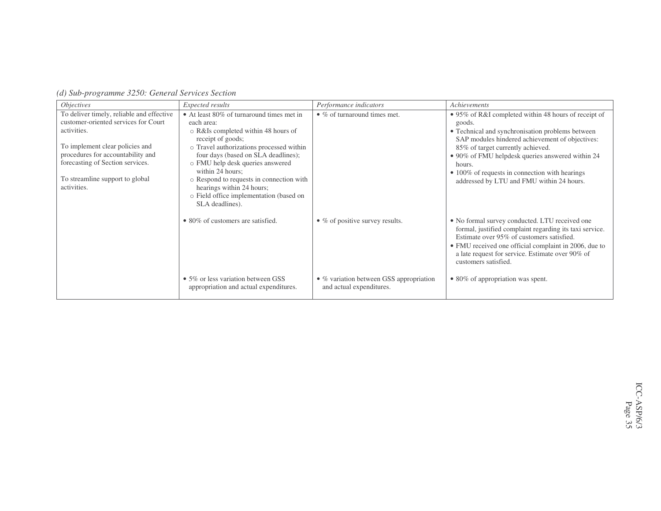|  | (d) Sub-programme 3250: General Services Section |  |  |  |  |
|--|--------------------------------------------------|--|--|--|--|
|--|--------------------------------------------------|--|--|--|--|

| Expected results                                                                                                                                                                                                                                                                                                                                                                                      | Performance indicators                                                                     | Achievements                                                                                                                                                                                                                                                                                                                                                            |
|-------------------------------------------------------------------------------------------------------------------------------------------------------------------------------------------------------------------------------------------------------------------------------------------------------------------------------------------------------------------------------------------------------|--------------------------------------------------------------------------------------------|-------------------------------------------------------------------------------------------------------------------------------------------------------------------------------------------------------------------------------------------------------------------------------------------------------------------------------------------------------------------------|
| • At least 80% of turnaround times met in<br>each area:<br>o R&Is completed within 48 hours of<br>receipt of goods;<br>o Travel authorizations processed within<br>four days (based on SLA deadlines);<br>o FMU help desk queries answered<br>within 24 hours:<br>o Respond to requests in connection with<br>hearings within 24 hours;<br>o Field office implementation (based on<br>SLA deadlines). | $\bullet$ % of turnaround times met.                                                       | • 95% of R&I completed within 48 hours of receipt of<br>goods.<br>• Technical and synchronisation problems between<br>SAP modules hindered achievement of objectives:<br>85% of target currently achieved.<br>• 90% of FMU helpdesk queries answered within 24<br>hours.<br>• 100% of requests in connection with hearings<br>addressed by LTU and FMU within 24 hours. |
| • 80% of customers are satisfied.<br>• 5% or less variation between GSS                                                                                                                                                                                                                                                                                                                               | $\bullet$ % of positive survey results.<br>$\bullet$ % variation between GSS appropriation | • No formal survey conducted. LTU received one<br>formal, justified complaint regarding its taxi service.<br>Estimate over 95% of customers satisfied.<br>• FMU received one official complaint in 2006, due to<br>a late request for service. Estimate over 90% of<br>customers satisfied.<br>• 80% of appropriation was spent.                                        |
|                                                                                                                                                                                                                                                                                                                                                                                                       | appropriation and actual expenditures.                                                     | and actual expenditures.                                                                                                                                                                                                                                                                                                                                                |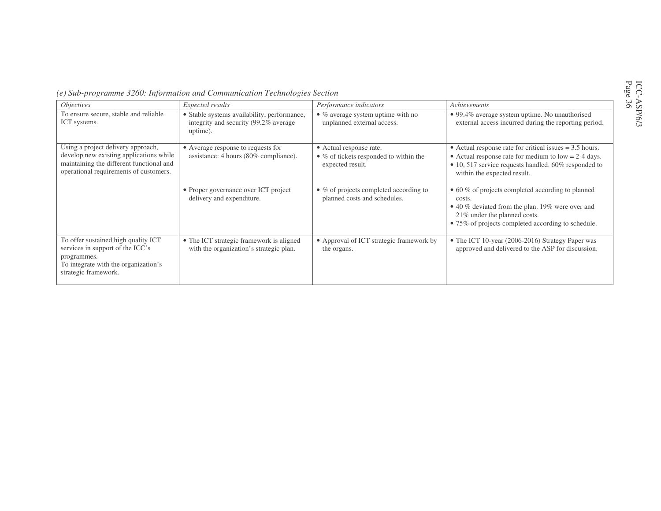| δĞ |  |
|----|--|
|----|--|

|  |  | (e) Sub-programme 3260: Information and Communication Technologies Section |  |  |  |  |  |  |
|--|--|----------------------------------------------------------------------------|--|--|--|--|--|--|
|  |  |                                                                            |  |  |  |  |  |  |

| <i>Objectives</i>                                                                                                                                                   | Expected results                                                                                 | Performance indicators                                                                | Achievements                                                                                                                                                                                               |
|---------------------------------------------------------------------------------------------------------------------------------------------------------------------|--------------------------------------------------------------------------------------------------|---------------------------------------------------------------------------------------|------------------------------------------------------------------------------------------------------------------------------------------------------------------------------------------------------------|
| To ensure secure, stable and reliable<br>ICT systems.                                                                                                               | • Stable systems availability, performance,<br>integrity and security (99.2% average<br>uptime). | $\bullet$ % average system uptime with no<br>unplanned external access.               | • 99.4% average system uptime. No unauthorised<br>external access incurred during the reporting period.                                                                                                    |
| Using a project delivery approach,<br>develop new existing applications while<br>maintaining the different functional and<br>operational requirements of customers. | • Average response to requests for<br>assistance: 4 hours (80% compliance).                      | • Actual response rate.<br>• % of tickets responded to within the<br>expected result. | • Actual response rate for critical issues $= 3.5$ hours.<br>• Actual response rate for medium to $low = 2-4$ days.<br>• 10, 517 service requests handled. 60% responded to<br>within the expected result. |
|                                                                                                                                                                     | • Proper governance over ICT project<br>delivery and expenditure.                                | $\bullet$ % of projects completed according to<br>planned costs and schedules.        | • 60 % of projects completed according to planned<br>costs.<br>• 40 % deviated from the plan. 19% were over and<br>21% under the planned costs.<br>• 75% of projects completed according to schedule.      |
| To offer sustained high quality ICT<br>services in support of the ICC's<br>programmes.<br>To integrate with the organization's<br>strategic framework.              | • The ICT strategic framework is aligned<br>with the organization's strategic plan.              | • Approval of ICT strategic framework by<br>the organs.                               | • The ICT 10-year (2006-2016) Strategy Paper was<br>approved and delivered to the ASP for discussion.                                                                                                      |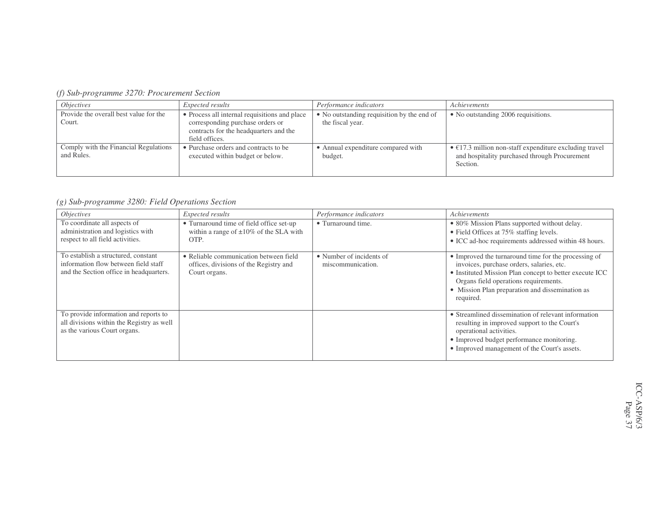| <i>Objectives</i>                                   | <i>Expected results</i>                                                                                                                       | Performance indicators                                         | Achievements                                                                                                                |
|-----------------------------------------------------|-----------------------------------------------------------------------------------------------------------------------------------------------|----------------------------------------------------------------|-----------------------------------------------------------------------------------------------------------------------------|
| Provide the overall best value for the<br>Court.    | • Process all internal requisitions and place<br>corresponding purchase orders or<br>contracts for the headquarters and the<br>field offices. | • No outstanding requisition by the end of<br>the fiscal year. | • No outstanding 2006 requisitions.                                                                                         |
| Comply with the Financial Regulations<br>and Rules. | • Purchase orders and contracts to be<br>executed within budget or below.                                                                     | • Annual expenditure compared with<br>budget.                  | $\bullet$ €17.3 million non-staff expenditure excluding travel<br>and hospitality purchased through Procurement<br>Section. |

*(g) Sub-programme 3280: Field Operations Section*

| <i>Objectives</i>                                                                                                      | Expected results                                                                                  | Performance indicators                        | <b>Achievements</b>                                                                                                                                                                                                                                                   |
|------------------------------------------------------------------------------------------------------------------------|---------------------------------------------------------------------------------------------------|-----------------------------------------------|-----------------------------------------------------------------------------------------------------------------------------------------------------------------------------------------------------------------------------------------------------------------------|
| To coordinate all aspects of<br>administration and logistics with<br>respect to all field activities.                  | • Turnaround time of field office set-up<br>within a range of $\pm 10\%$ of the SLA with<br>OTP.  | • Turnaround time.                            | • 80% Mission Plans supported without delay.<br>• Field Offices at 75% staffing levels.<br>• ICC ad-hoc requirements addressed within 48 hours.                                                                                                                       |
| To establish a structured, constant<br>information flow between field staff<br>and the Section office in headquarters. | • Reliable communication between field<br>offices, divisions of the Registry and<br>Court organs. | • Number of incidents of<br>miscommunication. | • Improved the turnaround time for the processing of<br>invoices, purchase orders, salaries, etc.<br>• Instituted Mission Plan concept to better execute ICC<br>Organs field operations requirements.<br>• Mission Plan preparation and dissemination as<br>required. |
| To provide information and reports to<br>all divisions within the Registry as well<br>as the various Court organs.     |                                                                                                   |                                               | • Streamlined dissemination of relevant information<br>resulting in improved support to the Court's<br>operational activities.<br>• Improved budget performance monitoring.<br>• Improved management of the Court's assets.                                           |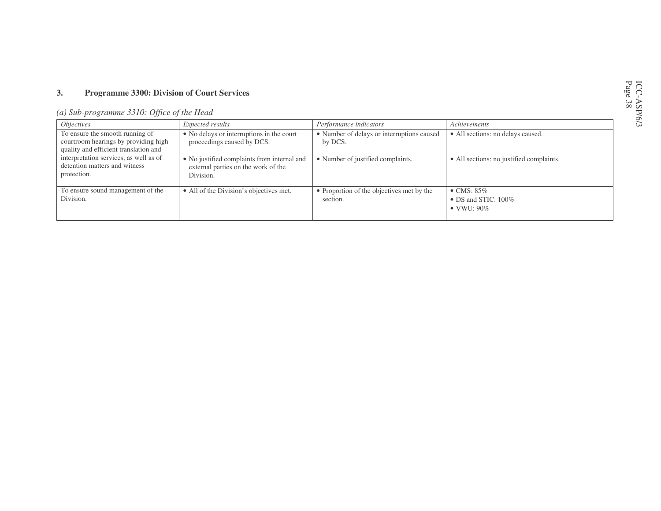#### **3.Programme 3300: Division of Court Services**

| (a) Sub-programme 3310: Office of the Head |
|--------------------------------------------|
|--------------------------------------------|

| <i>Objectives</i>                                                                                                | <i>Expected results</i>                                                                         | Performance indicators                                | Achievements                                                             |
|------------------------------------------------------------------------------------------------------------------|-------------------------------------------------------------------------------------------------|-------------------------------------------------------|--------------------------------------------------------------------------|
| To ensure the smooth running of<br>courtroom hearings by providing high<br>quality and efficient translation and | • No delays or interruptions in the court<br>proceedings caused by DCS.                         | • Number of delays or interruptions caused<br>by DCS. | • All sections: no delays caused.                                        |
| interpretation services, as well as of<br>detention matters and witness<br>protection.                           | • No justified complaints from internal and<br>external parties on the work of the<br>Division. | • Number of justified complaints.                     | • All sections: no justified complaints.                                 |
| To ensure sound management of the<br>Division.                                                                   | • All of the Division's objectives met.                                                         | • Proportion of the objectives met by the<br>section. | $\bullet$ CMS: 85%<br>$\bullet$ DS and STIC: 100\%<br>$\bullet$ VWU: 90% |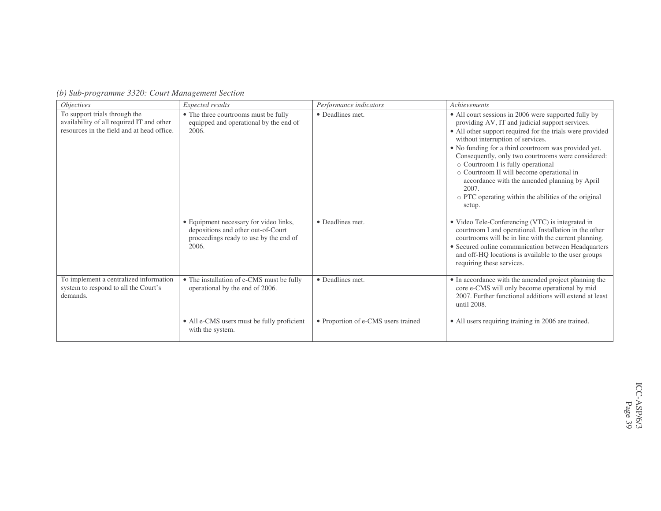|  | (b) Sub-programme 3320: Court Management Section |  |  |  |  |
|--|--------------------------------------------------|--|--|--|--|
|--|--------------------------------------------------|--|--|--|--|

| <i>Objectives</i>                                                                                                        | Expected results                                                                                                                | Performance indicators              | <b>Achievements</b>                                                                                                                                                                                                                                                                                                                                                                                                                                                                                                                    |
|--------------------------------------------------------------------------------------------------------------------------|---------------------------------------------------------------------------------------------------------------------------------|-------------------------------------|----------------------------------------------------------------------------------------------------------------------------------------------------------------------------------------------------------------------------------------------------------------------------------------------------------------------------------------------------------------------------------------------------------------------------------------------------------------------------------------------------------------------------------------|
| To support trials through the<br>availability of all required IT and other<br>resources in the field and at head office. | • The three courtrooms must be fully<br>equipped and operational by the end of<br>2006.                                         | • Deadlines met.                    | • All court sessions in 2006 were supported fully by<br>providing AV, IT and judicial support services.<br>• All other support required for the trials were provided<br>without interruption of services.<br>• No funding for a third courtroom was provided yet.<br>Consequently, only two courtrooms were considered:<br>o Courtroom I is fully operational<br>o Courtroom II will become operational in<br>accordance with the amended planning by April<br>2007.<br>o PTC operating within the abilities of the original<br>setup. |
|                                                                                                                          | • Equipment necessary for video links,<br>depositions and other out-of-Court<br>proceedings ready to use by the end of<br>2006. | • Deadlines met.                    | • Video Tele-Conferencing (VTC) is integrated in<br>courtroom I and operational. Installation in the other<br>courtrooms will be in line with the current planning.<br>• Secured online communication between Headquarters<br>and off-HQ locations is available to the user groups<br>requiring these services.                                                                                                                                                                                                                        |
| To implement a centralized information<br>system to respond to all the Court's<br>demands.                               | • The installation of e-CMS must be fully<br>operational by the end of 2006.                                                    | • Deadlines met.                    | • In accordance with the amended project planning the<br>core e-CMS will only become operational by mid<br>2007. Further functional additions will extend at least<br>until 2008.                                                                                                                                                                                                                                                                                                                                                      |
|                                                                                                                          | • All e-CMS users must be fully proficient<br>with the system.                                                                  | • Proportion of e-CMS users trained | • All users requiring training in 2006 are trained.                                                                                                                                                                                                                                                                                                                                                                                                                                                                                    |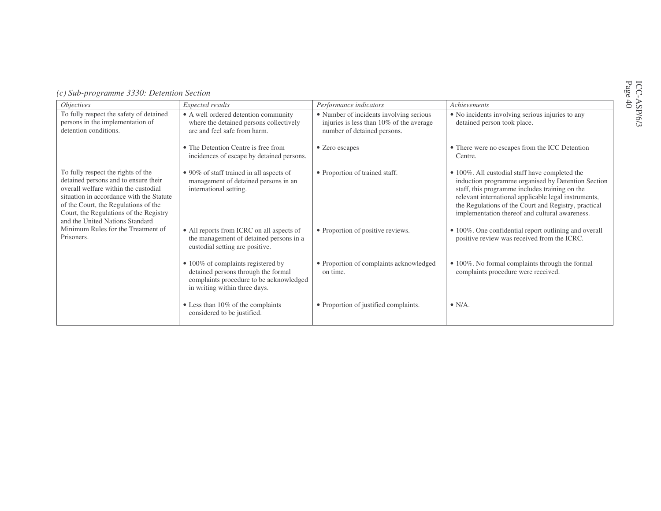| <i><b>Objectives</b></i>                                                                                                                                                                                                                                                            | Expected results                                                                                                                                              | Performance indicators                                                                                             | Achievements                                                                                                                                                                                                                                                                                                             |
|-------------------------------------------------------------------------------------------------------------------------------------------------------------------------------------------------------------------------------------------------------------------------------------|---------------------------------------------------------------------------------------------------------------------------------------------------------------|--------------------------------------------------------------------------------------------------------------------|--------------------------------------------------------------------------------------------------------------------------------------------------------------------------------------------------------------------------------------------------------------------------------------------------------------------------|
| To fully respect the safety of detained<br>persons in the implementation of<br>detention conditions.                                                                                                                                                                                | • A well ordered detention community<br>where the detained persons collectively<br>are and feel safe from harm.                                               | • Number of incidents involving serious<br>injuries is less than 10% of the average<br>number of detained persons. | • No incidents involving serious injuries to any<br>detained person took place.                                                                                                                                                                                                                                          |
|                                                                                                                                                                                                                                                                                     | • The Detention Centre is free from<br>incidences of escape by detained persons.                                                                              | • Zero escapes                                                                                                     | • There were no escapes from the ICC Detention<br>Centre.                                                                                                                                                                                                                                                                |
| To fully respect the rights of the<br>detained persons and to ensure their<br>overall welfare within the custodial<br>situation in accordance with the Statute<br>of the Court, the Regulations of the<br>Court, the Regulations of the Registry<br>and the United Nations Standard | • 90% of staff trained in all aspects of<br>management of detained persons in an<br>international setting.                                                    | • Proportion of trained staff.                                                                                     | • 100%. All custodial staff have completed the<br>induction programme organised by Detention Section<br>staff, this programme includes training on the<br>relevant international applicable legal instruments,<br>the Regulations of the Court and Registry, practical<br>implementation thereof and cultural awareness. |
| Minimum Rules for the Treatment of<br>Prisoners.                                                                                                                                                                                                                                    | • All reports from ICRC on all aspects of<br>the management of detained persons in a<br>custodial setting are positive.                                       | • Proportion of positive reviews.                                                                                  | • 100%. One confidential report outlining and overall<br>positive review was received from the ICRC.                                                                                                                                                                                                                     |
|                                                                                                                                                                                                                                                                                     | $\bullet$ 100% of complaints registered by<br>detained persons through the formal<br>complaints procedure to be acknowledged<br>in writing within three days. | • Proportion of complaints acknowledged<br>on time.                                                                | • 100%. No formal complaints through the formal<br>complaints procedure were received.                                                                                                                                                                                                                                   |
|                                                                                                                                                                                                                                                                                     | • Less than 10% of the complaints<br>considered to be justified.                                                                                              | • Proportion of justified complaints.                                                                              | $\bullet$ N/A.                                                                                                                                                                                                                                                                                                           |

### *(c) Sub-programme 3330: Detention Section*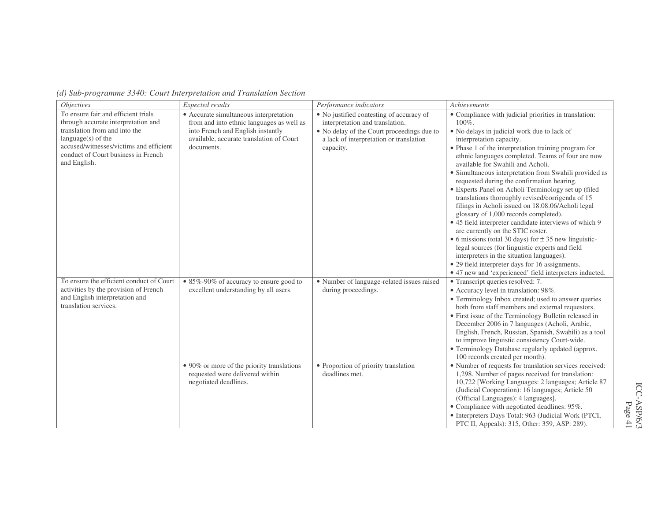| <i>Objectives</i>                                                                                                                                                                                                                     | Expected results                                                                                                                                                                           | Performance indicators                                                                                                                                                            | Achievements                                                                                                                                                                                                                                                                                                                                                                                                                                                                                                                                                                                                                                                                                                                                                                                                                                                                                                                                                                           |
|---------------------------------------------------------------------------------------------------------------------------------------------------------------------------------------------------------------------------------------|--------------------------------------------------------------------------------------------------------------------------------------------------------------------------------------------|-----------------------------------------------------------------------------------------------------------------------------------------------------------------------------------|----------------------------------------------------------------------------------------------------------------------------------------------------------------------------------------------------------------------------------------------------------------------------------------------------------------------------------------------------------------------------------------------------------------------------------------------------------------------------------------------------------------------------------------------------------------------------------------------------------------------------------------------------------------------------------------------------------------------------------------------------------------------------------------------------------------------------------------------------------------------------------------------------------------------------------------------------------------------------------------|
| To ensure fair and efficient trials<br>through accurate interpretation and<br>translation from and into the<br>$language(s)$ of the<br>accused/witnesses/victims and efficient<br>conduct of Court business in French<br>and English. | • Accurate simultaneous interpretation<br>from and into ethnic languages as well as<br>into French and English instantly<br>available, accurate translation of Court<br>documents.         | • No justified contesting of accuracy of<br>interpretation and translation.<br>• No delay of the Court proceedings due to<br>a lack of interpretation or translation<br>capacity. | • Compliance with judicial priorities in translation:<br>100%.<br>• No delays in judicial work due to lack of<br>interpretation capacity.<br>• Phase 1 of the interpretation training program for<br>ethnic languages completed. Teams of four are now<br>available for Swahili and Acholi.<br>• Simultaneous interpretation from Swahili provided as<br>requested during the confirmation hearing.<br>• Experts Panel on Acholi Terminology set up (filed<br>translations thoroughly revised/corrigenda of 15<br>filings in Acholi issued on 18.08.06/Acholi legal<br>glossary of 1,000 records completed).<br>• 45 field interpreter candidate interviews of which 9<br>are currently on the STIC roster.<br>• 6 missions (total 30 days) for $\pm$ 35 new linguistic-<br>legal sources (for linguistic experts and field<br>interpreters in the situation languages).<br>• 29 field interpreter days for 16 assignments.<br>• 47 new and 'experienced' field interpreters inducted. |
| To ensure the efficient conduct of Court<br>activities by the provision of French<br>and English interpretation and<br>translation services.                                                                                          | • 85%-90% of accuracy to ensure good to<br>excellent understanding by all users.<br>• 90% or more of the priority translations<br>requested were delivered within<br>negotiated deadlines. | • Number of language-related issues raised<br>during proceedings.<br>• Proportion of priority translation<br>deadlines met.                                                       | • Transcript queries resolved: 7.<br>• Accuracy level in translation: 98%.<br>• Terminology Inbox created; used to answer queries<br>both from staff members and external requestors.<br>• First issue of the Terminology Bulletin released in<br>December 2006 in 7 languages (Acholi, Arabic,<br>English, French, Russian, Spanish, Swahili) as a tool<br>to improve linguistic consistency Court-wide.<br>• Terminology Database regularly updated (approx.<br>100 records created per month).<br>• Number of requests for translation services received:<br>1,298. Number of pages received for translation:<br>10,722 [Working Languages: 2 languages; Article 87<br>(Judicial Cooperation): 16 languages; Article 50<br>(Official Languages): 4 languages].<br>• Compliance with negotiated deadlines: 95%.<br>• Interpreters Days Total: 963 (Judicial Work (PTCI,<br>PTC II, Appeals): 315, Other: 359, ASP: 289).                                                             |

*(d) Sub-programme 3340: Court Interpretation and Translation Section*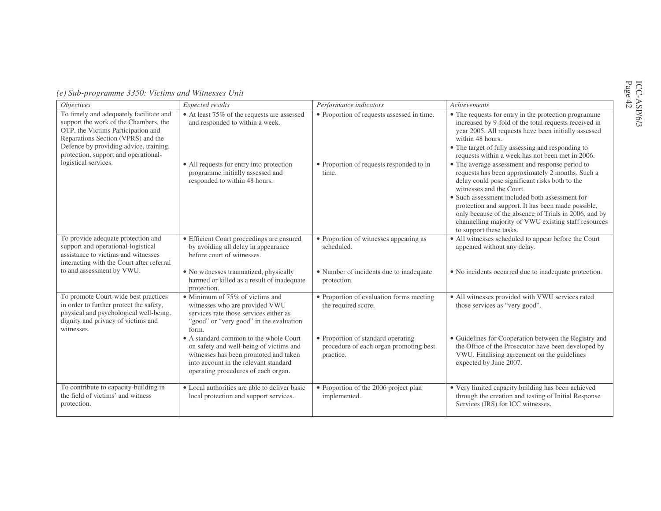| Page |  |
|------|--|
| G    |  |

|  |  | (e) Sub-programme 3350: Victims and Witnesses Unit |  |  |  |  |
|--|--|----------------------------------------------------|--|--|--|--|
|--|--|----------------------------------------------------|--|--|--|--|

| <i><b>Objectives</b></i>                                                                                                                                                                                                                       | Expected results                                                                                                                                                                                           | Performance indicators                                                                    | Achievements                                                                                                                                                                                                                                                                                                                                                                                                                          |
|------------------------------------------------------------------------------------------------------------------------------------------------------------------------------------------------------------------------------------------------|------------------------------------------------------------------------------------------------------------------------------------------------------------------------------------------------------------|-------------------------------------------------------------------------------------------|---------------------------------------------------------------------------------------------------------------------------------------------------------------------------------------------------------------------------------------------------------------------------------------------------------------------------------------------------------------------------------------------------------------------------------------|
| To timely and adequately facilitate and<br>support the work of the Chambers, the<br>OTP, the Victims Participation and<br>Reparations Section (VPRS) and the<br>Defence by providing advice, training,<br>protection, support and operational- | • At least 75% of the requests are assessed<br>and responded to within a week.                                                                                                                             | • Proportion of requests assessed in time.                                                | • The requests for entry in the protection programme<br>increased by 9-fold of the total requests received in<br>year 2005. All requests have been initially assessed<br>within 48 hours.<br>• The target of fully assessing and responding to<br>requests within a week has not been met in 2006.                                                                                                                                    |
| logistical services.                                                                                                                                                                                                                           | • All requests for entry into protection<br>programme initially assessed and<br>responded to within 48 hours.                                                                                              | • Proportion of requests responded to in<br>time.                                         | • The average assessment and response period to<br>requests has been approximately 2 months. Such a<br>delay could pose significant risks both to the<br>witnesses and the Court.<br>• Such assessment included both assessment for<br>protection and support. It has been made possible,<br>only because of the absence of Trials in 2006, and by<br>channelling majority of VWU existing staff resources<br>to support these tasks. |
| To provide adequate protection and<br>support and operational-logistical<br>assistance to victims and witnesses<br>interacting with the Court after referral                                                                                   | • Efficient Court proceedings are ensured<br>by avoiding all delay in appearance<br>before court of witnesses.                                                                                             | • Proportion of witnesses appearing as<br>scheduled.                                      | • All witnesses scheduled to appear before the Court<br>appeared without any delay.                                                                                                                                                                                                                                                                                                                                                   |
| to and assessment by VWU.                                                                                                                                                                                                                      | • No witnesses traumatized, physically<br>harmed or killed as a result of inadequate<br>protection.                                                                                                        | • Number of incidents due to inadequate<br>protection.                                    | • No incidents occurred due to inadequate protection.                                                                                                                                                                                                                                                                                                                                                                                 |
| To promote Court-wide best practices<br>in order to further protect the safety,<br>physical and psychological well-being,<br>dignity and privacy of victims and<br>witnesses.                                                                  | • Minimum of 75% of victims and<br>witnesses who are provided VWU<br>services rate those services either as<br>"good" or "very good" in the evaluation<br>form.                                            | • Proportion of evaluation forms meeting<br>the required score.                           | · All witnesses provided with VWU services rated<br>those services as "very good".                                                                                                                                                                                                                                                                                                                                                    |
|                                                                                                                                                                                                                                                | • A standard common to the whole Court<br>on safety and well-being of victims and<br>witnesses has been promoted and taken<br>into account in the relevant standard<br>operating procedures of each organ. | • Proportion of standard operating<br>procedure of each organ promoting best<br>practice. | • Guidelines for Cooperation between the Registry and<br>the Office of the Prosecutor have been developed by<br>VWU. Finalising agreement on the guidelines<br>expected by June 2007.                                                                                                                                                                                                                                                 |
| To contribute to capacity-building in<br>the field of victims' and witness<br>protection.                                                                                                                                                      | • Local authorities are able to deliver basic<br>local protection and support services.                                                                                                                    | • Proportion of the 2006 project plan<br>implemented.                                     | • Very limited capacity building has been achieved<br>through the creation and testing of Initial Response<br>Services (IRS) for ICC witnesses.                                                                                                                                                                                                                                                                                       |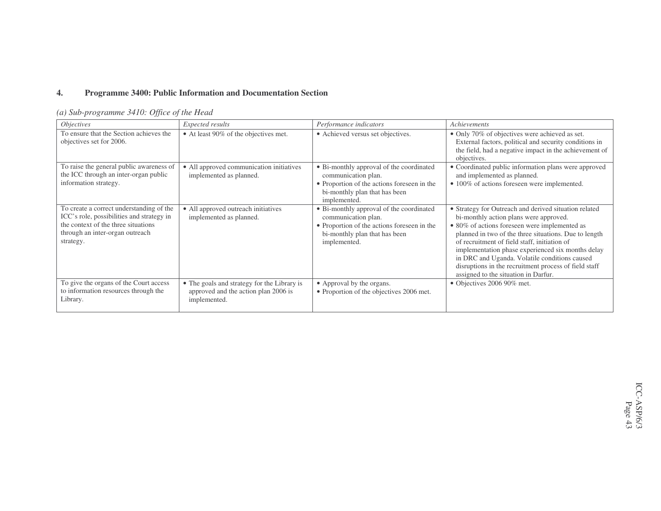#### **4.Programme 3400: Public Information and Documentation Section**

## *(a) Sub-programme 3410: Office of the Head*

| <i>Objectives</i>                                                                                                                                                            | Expected results                                                                                    | Performance indicators                                                                                                                                          | Achievements                                                                                                                                                                                                                                                                                                                                                                                                                                                     |
|------------------------------------------------------------------------------------------------------------------------------------------------------------------------------|-----------------------------------------------------------------------------------------------------|-----------------------------------------------------------------------------------------------------------------------------------------------------------------|------------------------------------------------------------------------------------------------------------------------------------------------------------------------------------------------------------------------------------------------------------------------------------------------------------------------------------------------------------------------------------------------------------------------------------------------------------------|
| To ensure that the Section achieves the<br>objectives set for 2006.                                                                                                          | • At least 90% of the objectives met.                                                               | • Achieved versus set objectives.                                                                                                                               | • Only 70% of objectives were achieved as set.<br>External factors, political and security conditions in<br>the field, had a negative impact in the achievement of<br>objectives.                                                                                                                                                                                                                                                                                |
| To raise the general public awareness of<br>the ICC through an inter-organ public<br>information strategy.                                                                   | • All approved communication initiatives<br>implemented as planned.                                 | • Bi-monthly approval of the coordinated<br>communication plan.<br>• Proportion of the actions foreseen in the<br>bi-monthly plan that has been<br>implemented. | • Coordinated public information plans were approved<br>and implemented as planned.<br>• 100% of actions foreseen were implemented.                                                                                                                                                                                                                                                                                                                              |
| To create a correct understanding of the<br>ICC's role, possibilities and strategy in<br>the context of the three situations<br>through an inter-organ outreach<br>strategy. | • All approved outreach initiatives<br>implemented as planned.                                      | • Bi-monthly approval of the coordinated<br>communication plan.<br>• Proportion of the actions foreseen in the<br>bi-monthly plan that has been<br>implemented. | • Strategy for Outreach and derived situation related<br>bi-monthly action plans were approved.<br>• 80% of actions foreseen were implemented as<br>planned in two of the three situations. Due to length<br>of recruitment of field staff, initiation of<br>implementation phase experienced six months delay<br>in DRC and Uganda. Volatile conditions caused<br>disruptions in the recruitment process of field staff<br>assigned to the situation in Darfur. |
| To give the organs of the Court access<br>to information resources through the<br>Library.                                                                                   | • The goals and strategy for the Library is<br>approved and the action plan 2006 is<br>implemented. | • Approval by the organs.<br>• Proportion of the objectives 2006 met.                                                                                           | • Objectives 2006 90% met.                                                                                                                                                                                                                                                                                                                                                                                                                                       |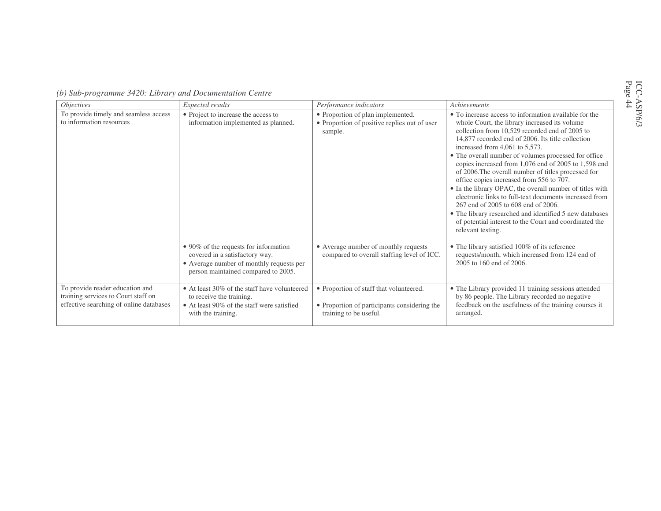| (b) Sub-programme 3420: Library and Documentation Centre |  |  |  |
|----------------------------------------------------------|--|--|--|
|                                                          |  |  |  |

| <i>Objectives</i>                                                                                                 | Expected results                                                                                                                                           | Performance indicators                                                                                            | Achievements                                                                                                                                                                                                                                                                                                                                                                                                                                                                                                                                                                                                                                                                                                                                                                   |
|-------------------------------------------------------------------------------------------------------------------|------------------------------------------------------------------------------------------------------------------------------------------------------------|-------------------------------------------------------------------------------------------------------------------|--------------------------------------------------------------------------------------------------------------------------------------------------------------------------------------------------------------------------------------------------------------------------------------------------------------------------------------------------------------------------------------------------------------------------------------------------------------------------------------------------------------------------------------------------------------------------------------------------------------------------------------------------------------------------------------------------------------------------------------------------------------------------------|
| To provide timely and seamless access<br>to information resources                                                 | • Project to increase the access to<br>information implemented as planned.                                                                                 | • Proportion of plan implemented.<br>• Proportion of positive replies out of user<br>sample.                      | • To increase access to information available for the<br>whole Court, the library increased its volume<br>collection from 10,529 recorded end of 2005 to<br>14,877 recorded end of 2006. Its title collection<br>increased from $4,061$ to $5,573$ .<br>• The overall number of volumes processed for office<br>copies increased from 1,076 end of 2005 to 1,598 end<br>of 2006. The overall number of titles processed for<br>office copies increased from 556 to 707.<br>• In the library OPAC, the overall number of titles with<br>electronic links to full-text documents increased from<br>267 end of 2005 to 608 end of 2006.<br>• The library researched and identified 5 new databases<br>of potential interest to the Court and coordinated the<br>relevant testing. |
|                                                                                                                   | • 90% of the requests for information<br>covered in a satisfactory way.<br>• Average number of monthly requests per<br>person maintained compared to 2005. | • Average number of monthly requests<br>compared to overall staffing level of ICC.                                | • The library satisfied 100% of its reference<br>requests/month, which increased from 124 end of<br>2005 to 160 end of 2006.                                                                                                                                                                                                                                                                                                                                                                                                                                                                                                                                                                                                                                                   |
| To provide reader education and<br>training services to Court staff on<br>effective searching of online databases | • At least 30% of the staff have volunteered<br>to receive the training.<br>• At least 90% of the staff were satisfied<br>with the training.               | • Proportion of staff that volunteered.<br>• Proportion of participants considering the<br>training to be useful. | • The Library provided 11 training sessions attended<br>by 86 people. The Library recorded no negative<br>feedback on the usefulness of the training courses it<br>arranged.                                                                                                                                                                                                                                                                                                                                                                                                                                                                                                                                                                                                   |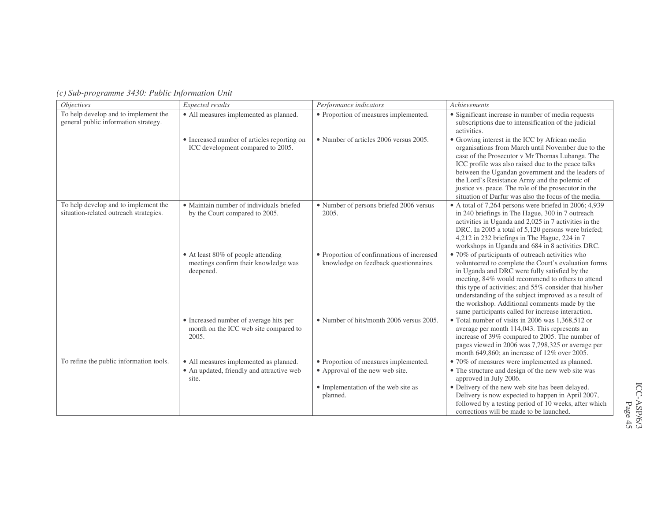| <b>Objectives</b>                                                              | Expected results                                                                         | Performance indicators                                                              | Achievements                                                                                                                                                                                                                                                                                                                                                                                                                           |
|--------------------------------------------------------------------------------|------------------------------------------------------------------------------------------|-------------------------------------------------------------------------------------|----------------------------------------------------------------------------------------------------------------------------------------------------------------------------------------------------------------------------------------------------------------------------------------------------------------------------------------------------------------------------------------------------------------------------------------|
| To help develop and to implement the<br>general public information strategy.   | • All measures implemented as planned.                                                   | • Proportion of measures implemented.                                               | • Significant increase in number of media requests<br>subscriptions due to intensification of the judicial<br>activities.                                                                                                                                                                                                                                                                                                              |
|                                                                                | • Increased number of articles reporting on<br>ICC development compared to 2005.         | • Number of articles 2006 versus 2005.                                              | • Growing interest in the ICC by African media<br>organisations from March until November due to the<br>case of the Prosecutor v Mr Thomas Lubanga. The<br>ICC profile was also raised due to the peace talks<br>between the Ugandan government and the leaders of<br>the Lord's Resistance Army and the polemic of<br>justice vs. peace. The role of the prosecutor in the<br>situation of Darfur was also the focus of the media.    |
| To help develop and to implement the<br>situation-related outreach strategies. | • Maintain number of individuals briefed<br>by the Court compared to 2005.               | • Number of persons briefed 2006 versus<br>2005.                                    | • A total of 7,264 persons were briefed in 2006; 4,939<br>in 240 briefings in The Hague, 300 in 7 outreach<br>activities in Uganda and 2,025 in 7 activities in the<br>DRC. In 2005 a total of 5,120 persons were briefed;<br>4,212 in 232 briefings in The Hague, 224 in 7<br>workshops in Uganda and 684 in 8 activities DRC.                                                                                                        |
|                                                                                | • At least 80% of people attending<br>meetings confirm their knowledge was<br>deepened.  | • Proportion of confirmations of increased<br>knowledge on feedback questionnaires. | • 70% of participants of outreach activities who<br>volunteered to complete the Court's evaluation forms<br>in Uganda and DRC were fully satisfied by the<br>meeting, 84% would recommend to others to attend<br>this type of activities; and 55% consider that his/her<br>understanding of the subject improved as a result of<br>the workshop. Additional comments made by the<br>same participants called for increase interaction. |
|                                                                                | • Increased number of average hits per<br>month on the ICC web site compared to<br>2005. | • Number of hits/month 2006 versus 2005.                                            | • Total number of visits in 2006 was 1,368,512 or<br>average per month 114,043. This represents an<br>increase of 39% compared to 2005. The number of<br>pages viewed in 2006 was 7,798,325 or average per<br>month 649,860; an increase of 12% over 2005.                                                                                                                                                                             |
| To refine the public information tools.                                        | • All measures implemented as planned.                                                   | • Proportion of measures implemented.                                               | • 70% of measures were implemented as planned.                                                                                                                                                                                                                                                                                                                                                                                         |
|                                                                                | • An updated, friendly and attractive web<br>site.                                       | • Approval of the new web site.                                                     | • The structure and design of the new web site was<br>approved in July 2006.                                                                                                                                                                                                                                                                                                                                                           |
|                                                                                |                                                                                          | • Implementation of the web site as                                                 | · Delivery of the new web site has been delayed.                                                                                                                                                                                                                                                                                                                                                                                       |
|                                                                                |                                                                                          | planned.                                                                            | Delivery is now expected to happen in April 2007,<br>followed by a testing period of 10 weeks, after which<br>corrections will be made to be launched.                                                                                                                                                                                                                                                                                 |

*(c) Sub-programme 3430: Public Information Unit*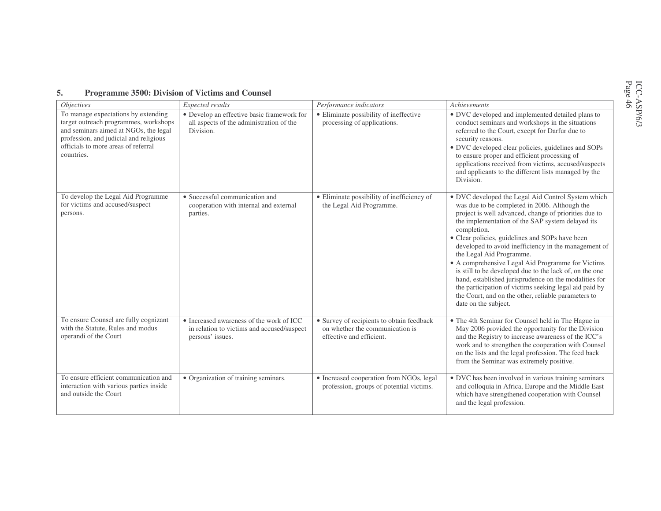| <i>Objectives</i>                                                                                                                                                                                                    | Expected results                                                                                           | Performance indicators                                                                                   | Achievements                                                                                                                                                                                                                                                                                                                                                                                                                                                                                                                                                                                                                                                                             |
|----------------------------------------------------------------------------------------------------------------------------------------------------------------------------------------------------------------------|------------------------------------------------------------------------------------------------------------|----------------------------------------------------------------------------------------------------------|------------------------------------------------------------------------------------------------------------------------------------------------------------------------------------------------------------------------------------------------------------------------------------------------------------------------------------------------------------------------------------------------------------------------------------------------------------------------------------------------------------------------------------------------------------------------------------------------------------------------------------------------------------------------------------------|
| To manage expectations by extending<br>target outreach programmes, workshops<br>and seminars aimed at NGOs, the legal<br>profession, and judicial and religious<br>officials to more areas of referral<br>countries. | • Develop an effective basic framework for<br>all aspects of the administration of the<br>Division.        | • Eliminate possibility of ineffective<br>processing of applications.                                    | • DVC developed and implemented detailed plans to<br>conduct seminars and workshops in the situations<br>referred to the Court, except for Darfur due to<br>security reasons.<br>• DVC developed clear policies, guidelines and SOPs<br>to ensure proper and efficient processing of<br>applications received from victims, accused/suspects<br>and applicants to the different lists managed by the<br>Division.                                                                                                                                                                                                                                                                        |
| To develop the Legal Aid Programme<br>for victims and accused/suspect<br>persons.                                                                                                                                    | • Successful communication and<br>cooperation with internal and external<br>parties.                       | • Eliminate possibility of inefficiency of<br>the Legal Aid Programme.                                   | • DVC developed the Legal Aid Control System which<br>was due to be completed in 2006. Although the<br>project is well advanced, change of priorities due to<br>the implementation of the SAP system delayed its<br>completion.<br>• Clear policies, guidelines and SOPs have been<br>developed to avoid inefficiency in the management of<br>the Legal Aid Programme.<br>• A comprehensive Legal Aid Programme for Victims<br>is still to be developed due to the lack of, on the one<br>hand, established jurisprudence on the modalities for<br>the participation of victims seeking legal aid paid by<br>the Court, and on the other, reliable parameters to<br>date on the subject. |
| To ensure Counsel are fully cognizant<br>with the Statute, Rules and modus<br>operandi of the Court                                                                                                                  | • Increased awareness of the work of ICC<br>in relation to victims and accused/suspect<br>persons' issues. | • Survey of recipients to obtain feedback<br>on whether the communication is<br>effective and efficient. | • The 4th Seminar for Counsel held in The Hague in<br>May 2006 provided the opportunity for the Division<br>and the Registry to increase awareness of the ICC's<br>work and to strengthen the cooperation with Counsel<br>on the lists and the legal profession. The feed back<br>from the Seminar was extremely positive.                                                                                                                                                                                                                                                                                                                                                               |
| To ensure efficient communication and<br>interaction with various parties inside<br>and outside the Court                                                                                                            | • Organization of training seminars.                                                                       | • Increased cooperation from NGOs, legal<br>profession, groups of potential victims.                     | • DVC has been involved in various training seminars<br>and colloquia in Africa, Europe and the Middle East<br>which have strengthened cooperation with Counsel                                                                                                                                                                                                                                                                                                                                                                                                                                                                                                                          |

#### **5.Programme 3500: Division of Victims and Counsel**

which have strengthened cooperation with Counsel

and the legal profession.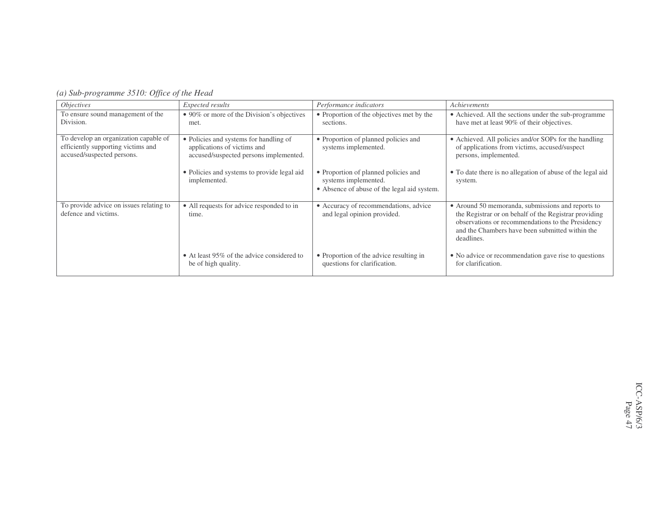| (a) Sub-programme 3510: Office of the Head |  |  |  |  |
|--------------------------------------------|--|--|--|--|
|--------------------------------------------|--|--|--|--|

| <i>Objectives</i>                                                                                         | Expected results                                                                                                | Performance indicators                                                                                      | Achievements                                                                                                                                                                                                                     |
|-----------------------------------------------------------------------------------------------------------|-----------------------------------------------------------------------------------------------------------------|-------------------------------------------------------------------------------------------------------------|----------------------------------------------------------------------------------------------------------------------------------------------------------------------------------------------------------------------------------|
| To ensure sound management of the<br>Division.                                                            | • 90% or more of the Division's objectives<br>met.                                                              | • Proportion of the objectives met by the<br>sections.                                                      | • Achieved. All the sections under the sub-programme<br>have met at least 90% of their objectives.                                                                                                                               |
| To develop an organization capable of<br>efficiently supporting victims and<br>accused/suspected persons. | • Policies and systems for handling of<br>applications of victims and<br>accused/suspected persons implemented. | • Proportion of planned policies and<br>systems implemented.                                                | • Achieved. All policies and/or SOPs for the handling<br>of applications from victims, accused/suspect<br>persons, implemented.                                                                                                  |
|                                                                                                           | • Policies and systems to provide legal aid<br>implemented.                                                     | • Proportion of planned policies and<br>systems implemented.<br>• Absence of abuse of the legal aid system. | • To date there is no allegation of abuse of the legal aid<br>system.                                                                                                                                                            |
| To provide advice on issues relating to<br>defence and victims.                                           | • All requests for advice responded to in<br>time.                                                              | • Accuracy of recommendations, advice<br>and legal opinion provided.                                        | • Around 50 memoranda, submissions and reports to<br>the Registrar or on behalf of the Registrar providing<br>observations or recommendations to the Presidency<br>and the Chambers have been submitted within the<br>deadlines. |
|                                                                                                           | • At least 95% of the advice considered to<br>be of high quality.                                               | • Proportion of the advice resulting in<br>questions for clarification.                                     | • No advice or recommendation gave rise to questions<br>for clarification.                                                                                                                                                       |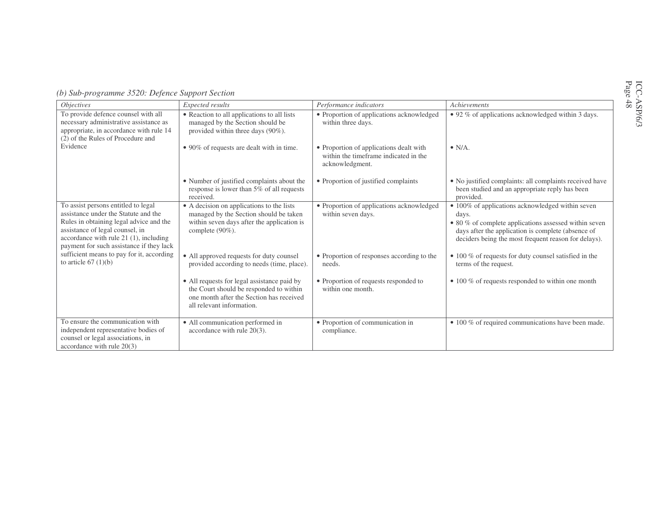| <i>Objectives</i>                                                                                                                                                                                                                                 | Expected results                                                                                                                                                | Performance indicators                                                                              | Achievements                                                                                                                                                                                                                     |
|---------------------------------------------------------------------------------------------------------------------------------------------------------------------------------------------------------------------------------------------------|-----------------------------------------------------------------------------------------------------------------------------------------------------------------|-----------------------------------------------------------------------------------------------------|----------------------------------------------------------------------------------------------------------------------------------------------------------------------------------------------------------------------------------|
| To provide defence counsel with all<br>necessary administrative assistance as<br>appropriate, in accordance with rule 14<br>(2) of the Rules of Procedure and                                                                                     | • Reaction to all applications to all lists<br>managed by the Section should be<br>provided within three days (90%).                                            | • Proportion of applications acknowledged<br>within three days.                                     | • 92 % of applications acknowledged within 3 days.                                                                                                                                                                               |
| Evidence                                                                                                                                                                                                                                          | • 90% of requests are dealt with in time.                                                                                                                       | • Proportion of applications dealt with<br>within the timeframe indicated in the<br>acknowledgment. | $\bullet$ N/A.                                                                                                                                                                                                                   |
|                                                                                                                                                                                                                                                   | • Number of justified complaints about the<br>response is lower than 5% of all requests<br>received.                                                            | • Proportion of justified complaints                                                                | • No justified complaints: all complaints received have<br>been studied and an appropriate reply has been<br>provided.                                                                                                           |
| To assist persons entitled to legal<br>assistance under the Statute and the<br>Rules in obtaining legal advice and the<br>assistance of legal counsel, in<br>accordance with rule $21$ (1), including<br>payment for such assistance if they lack | • A decision on applications to the lists<br>managed by the Section should be taken<br>within seven days after the application is<br>complete $(90\%)$ .        | • Proportion of applications acknowledged<br>within seven days.                                     | • 100% of applications acknowledged within seven<br>days.<br>• 80 % of complete applications assessed within seven<br>days after the application is complete (absence of<br>deciders being the most frequent reason for delays). |
| sufficient means to pay for it, according<br>to article $67(1)(b)$                                                                                                                                                                                | • All approved requests for duty counsel<br>provided according to needs (time, place).                                                                          | • Proportion of responses according to the<br>needs.                                                | • 100 % of requests for duty counsel satisfied in the<br>terms of the request.                                                                                                                                                   |
|                                                                                                                                                                                                                                                   | • All requests for legal assistance paid by<br>the Court should be responded to within<br>one month after the Section has received<br>all relevant information. | • Proportion of requests responded to<br>within one month.                                          | $\bullet$ 100 % of requests responded to within one month                                                                                                                                                                        |
| To ensure the communication with<br>independent representative bodies of<br>counsel or legal associations, in<br>accordance with rule 20(3)                                                                                                       | • All communication performed in<br>accordance with rule $20(3)$ .                                                                                              | • Proportion of communication in<br>compliance.                                                     | • 100 % of required communications have been made.                                                                                                                                                                               |

*(b) Sub-programme 3520: Defence Support Section*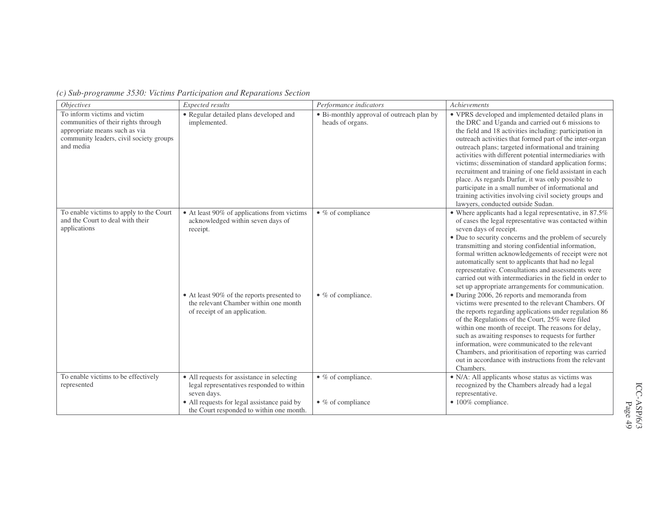| <i>Objectives</i>                                                                                                                                            | Expected results                                                                                                     | Performance indicators                                        | Achievements                                                                                                                                                                                                                                                                                                                                                                                                                                                                                                                                                                                                                                                                 |
|--------------------------------------------------------------------------------------------------------------------------------------------------------------|----------------------------------------------------------------------------------------------------------------------|---------------------------------------------------------------|------------------------------------------------------------------------------------------------------------------------------------------------------------------------------------------------------------------------------------------------------------------------------------------------------------------------------------------------------------------------------------------------------------------------------------------------------------------------------------------------------------------------------------------------------------------------------------------------------------------------------------------------------------------------------|
| To inform victims and victim<br>communities of their rights through<br>appropriate means such as via<br>community leaders, civil society groups<br>and media | • Regular detailed plans developed and<br>implemented.                                                               | • Bi-monthly approval of outreach plan by<br>heads of organs. | • VPRS developed and implemented detailed plans in<br>the DRC and Uganda and carried out 6 missions to<br>the field and 18 activities including: participation in<br>outreach activities that formed part of the inter-organ<br>outreach plans; targeted informational and training<br>activities with different potential intermediaries with<br>victims; dissemination of standard application forms;<br>recruitment and training of one field assistant in each<br>place. As regards Darfur, it was only possible to<br>participate in a small number of informational and<br>training activities involving civil society groups and<br>lawyers, conducted outside Sudan. |
| To enable victims to apply to the Court<br>and the Court to deal with their<br>applications                                                                  | • At least 90% of applications from victims<br>acknowledged within seven days of<br>receipt.                         | $\bullet$ % of compliance                                     | • Where applicants had a legal representative, in 87.5%<br>of cases the legal representative was contacted within<br>seven days of receipt.<br>• Due to security concerns and the problem of securely<br>transmitting and storing confidential information,<br>formal written acknowledgements of receipt were not<br>automatically sent to applicants that had no legal<br>representative. Consultations and assessments were<br>carried out with intermediaries in the field in order to<br>set up appropriate arrangements for communication.                                                                                                                             |
|                                                                                                                                                              | • At least 90% of the reports presented to<br>the relevant Chamber within one month<br>of receipt of an application. | $\bullet$ % of compliance.                                    | • During 2006, 26 reports and memoranda from<br>victims were presented to the relevant Chambers. Of<br>the reports regarding applications under regulation 86<br>of the Regulations of the Court, 25% were filed<br>within one month of receipt. The reasons for delay,<br>such as awaiting responses to requests for further<br>information, were communicated to the relevant<br>Chambers, and prioritisation of reporting was carried<br>out in accordance with instructions from the relevant<br>Chambers.                                                                                                                                                               |
| To enable victims to be effectively<br>represented                                                                                                           | • All requests for assistance in selecting<br>legal representatives responded to within<br>seven days.               | $\bullet$ % of compliance.                                    | • N/A: All applicants whose status as victims was<br>recognized by the Chambers already had a legal<br>representative.                                                                                                                                                                                                                                                                                                                                                                                                                                                                                                                                                       |
|                                                                                                                                                              | • All requests for legal assistance paid by<br>the Court responded to within one month.                              | $\bullet$ % of compliance                                     | • 100% compliance.                                                                                                                                                                                                                                                                                                                                                                                                                                                                                                                                                                                                                                                           |

### *(c) Sub-programme 3530: Victims Participation and Reparations Section*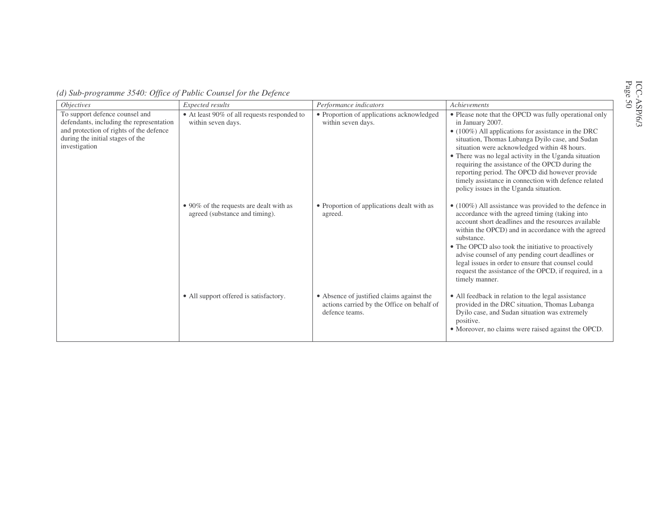| <i>Objectives</i>                                                                                                                                                          | Expected results                                                          | Performance indicators                                                                                    | Achievements                                                                                                                                                                                                                                                                                                                                                                                                                                                                                                 |
|----------------------------------------------------------------------------------------------------------------------------------------------------------------------------|---------------------------------------------------------------------------|-----------------------------------------------------------------------------------------------------------|--------------------------------------------------------------------------------------------------------------------------------------------------------------------------------------------------------------------------------------------------------------------------------------------------------------------------------------------------------------------------------------------------------------------------------------------------------------------------------------------------------------|
| To support defence counsel and<br>defendants, including the representation<br>and protection of rights of the defence<br>during the initial stages of the<br>investigation | • At least 90% of all requests responded to<br>within seven days.         | • Proportion of applications acknowledged<br>within seven days.                                           | • Please note that the OPCD was fully operational only<br>in January 2007.<br>$\bullet$ (100%) All applications for assistance in the DRC<br>situation, Thomas Lubanga Dyilo case, and Sudan<br>situation were acknowledged within 48 hours.<br>• There was no legal activity in the Uganda situation<br>requiring the assistance of the OPCD during the<br>reporting period. The OPCD did however provide<br>timely assistance in connection with defence related<br>policy issues in the Uganda situation. |
|                                                                                                                                                                            | • 90% of the requests are dealt with as<br>agreed (substance and timing). | • Proportion of applications dealt with as<br>agreed.                                                     | $\bullet$ (100%) All assistance was provided to the defence in<br>accordance with the agreed timing (taking into<br>account short deadlines and the resources available<br>within the OPCD) and in accordance with the agreed<br>substance.<br>• The OPCD also took the initiative to proactively<br>advise counsel of any pending court deadlines or<br>legal issues in order to ensure that counsel could<br>request the assistance of the OPCD, if required, in a<br>timely manner.                       |
|                                                                                                                                                                            | • All support offered is satisfactory.                                    | • Absence of justified claims against the<br>actions carried by the Office on behalf of<br>defence teams. | • All feedback in relation to the legal assistance<br>provided in the DRC situation, Thomas Lubanga<br>Dyilo case, and Sudan situation was extremely<br>positive.<br>• Moreover, no claims were raised against the OPCD.                                                                                                                                                                                                                                                                                     |

*(d) Sub-programme 3540: Office of Public Counsel for the Defence*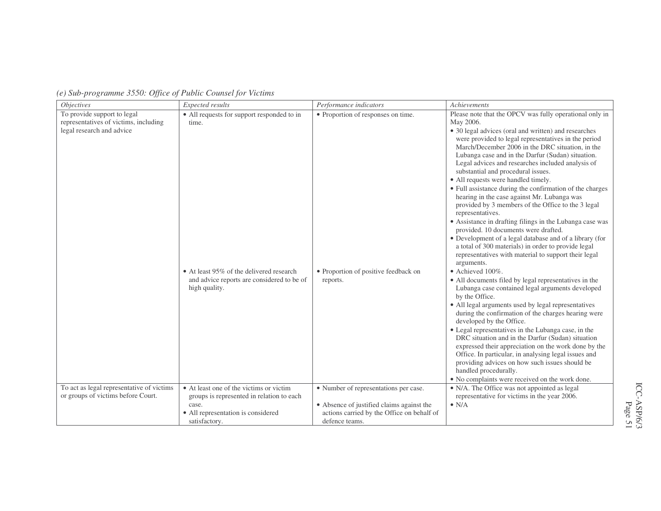| <i><b>Objectives</b></i>                                                                          | Expected results                                                                                                                                               | Performance indicators                                                                                                                             | Achievements                                                                                                                                                                                                                                                                                                                                                                                                                                                                                                                                                                                                                                                                                                                                                                                                                                                                                                                                                                                                                                                                                                                                                                                                                                                                                                                                                                                                                                                                                                                                                                    |
|---------------------------------------------------------------------------------------------------|----------------------------------------------------------------------------------------------------------------------------------------------------------------|----------------------------------------------------------------------------------------------------------------------------------------------------|---------------------------------------------------------------------------------------------------------------------------------------------------------------------------------------------------------------------------------------------------------------------------------------------------------------------------------------------------------------------------------------------------------------------------------------------------------------------------------------------------------------------------------------------------------------------------------------------------------------------------------------------------------------------------------------------------------------------------------------------------------------------------------------------------------------------------------------------------------------------------------------------------------------------------------------------------------------------------------------------------------------------------------------------------------------------------------------------------------------------------------------------------------------------------------------------------------------------------------------------------------------------------------------------------------------------------------------------------------------------------------------------------------------------------------------------------------------------------------------------------------------------------------------------------------------------------------|
| To provide support to legal<br>representatives of victims, including<br>legal research and advice | • All requests for support responded to in<br>time.<br>• At least 95% of the delivered research<br>and advice reports are considered to be of<br>high quality. | • Proportion of responses on time.<br>• Proportion of positive feedback on<br>reports.                                                             | Please note that the OPCV was fully operational only in<br>May 2006.<br>• 30 legal advices (oral and written) and researches<br>were provided to legal representatives in the period<br>March/December 2006 in the DRC situation, in the<br>Lubanga case and in the Darfur (Sudan) situation.<br>Legal advices and researches included analysis of<br>substantial and procedural issues.<br>• All requests were handled timely.<br>• Full assistance during the confirmation of the charges<br>hearing in the case against Mr. Lubanga was<br>provided by 3 members of the Office to the 3 legal<br>representatives.<br>• Assistance in drafting filings in the Lubanga case was<br>provided. 10 documents were drafted.<br>• Development of a legal database and of a library (for<br>a total of 300 materials) in order to provide legal<br>representatives with material to support their legal<br>arguments.<br>$\bullet$ Achieved 100%.<br>• All documents filed by legal representatives in the<br>Lubanga case contained legal arguments developed<br>by the Office.<br>• All legal arguments used by legal representatives<br>during the confirmation of the charges hearing were<br>developed by the Office.<br>• Legal representatives in the Lubanga case, in the<br>DRC situation and in the Darfur (Sudan) situation<br>expressed their appreciation on the work done by the<br>Office. In particular, in analysing legal issues and<br>providing advices on how such issues should be<br>handled procedurally.<br>• No complaints were received on the work done. |
| To act as legal representative of victims<br>or groups of victims before Court.                   | • At least one of the victims or victim<br>groups is represented in relation to each<br>case.<br>• All representation is considered<br>satisfactory.           | • Number of representations per case.<br>• Absence of justified claims against the<br>actions carried by the Office on behalf of<br>defence teams. | • N/A. The Office was not appointed as legal<br>representative for victims in the year 2006.<br>$\bullet$ N/A                                                                                                                                                                                                                                                                                                                                                                                                                                                                                                                                                                                                                                                                                                                                                                                                                                                                                                                                                                                                                                                                                                                                                                                                                                                                                                                                                                                                                                                                   |

*(e) Sub-programme 3550: Office of Public Counsel for Victims*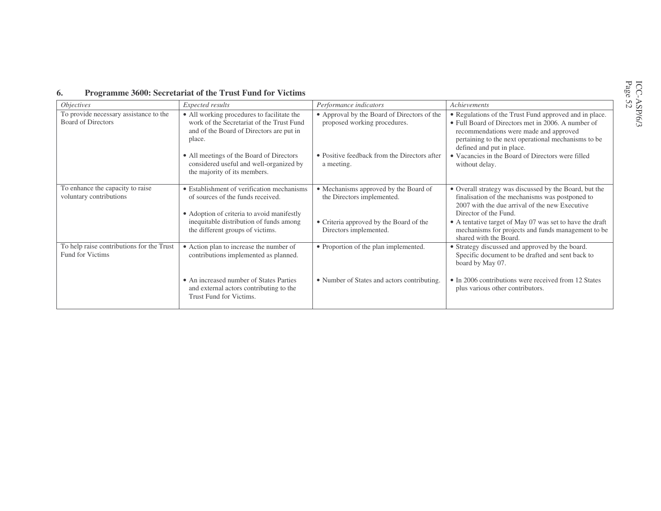#### **6.Programme 3600: Secretariat of the Trust Fund for Victims**

| <i>Objectives</i>                                                   | Expected results                                                                                                                              | Performance indicators                                                      | Achievements                                                                                                                                                                                                                               |
|---------------------------------------------------------------------|-----------------------------------------------------------------------------------------------------------------------------------------------|-----------------------------------------------------------------------------|--------------------------------------------------------------------------------------------------------------------------------------------------------------------------------------------------------------------------------------------|
| To provide necessary assistance to the<br><b>Board of Directors</b> | • All working procedures to facilitate the<br>work of the Secretariat of the Trust Fund<br>and of the Board of Directors are put in<br>place. | • Approval by the Board of Directors of the<br>proposed working procedures. | • Regulations of the Trust Fund approved and in place.<br>• Full Board of Directors met in 2006. A number of<br>recommendations were made and approved<br>pertaining to the next operational mechanisms to be<br>defined and put in place. |
|                                                                     | • All meetings of the Board of Directors<br>considered useful and well-organized by<br>the majority of its members.                           | • Positive feedback from the Directors after<br>a meeting.                  | • Vacancies in the Board of Directors were filled<br>without delay.                                                                                                                                                                        |
| To enhance the capacity to raise<br>voluntary contributions         | • Establishment of verification mechanisms<br>of sources of the funds received.<br>• Adoption of criteria to avoid manifestly                 | • Mechanisms approved by the Board of<br>the Directors implemented.         | • Overall strategy was discussed by the Board, but the<br>finalisation of the mechanisms was postponed to<br>2007 with the due arrival of the new Executive<br>Director of the Fund.                                                       |
|                                                                     | inequitable distribution of funds among<br>the different groups of victims.                                                                   | • Criteria approved by the Board of the<br>Directors implemented.           | • A tentative target of May 07 was set to have the draft<br>mechanisms for projects and funds management to be<br>shared with the Board.                                                                                                   |
| To help raise contributions for the Trust<br>Fund for Victims       | • Action plan to increase the number of<br>contributions implemented as planned.                                                              | • Proportion of the plan implemented.                                       | • Strategy discussed and approved by the board.<br>Specific document to be drafted and sent back to<br>board by May 07.                                                                                                                    |
|                                                                     | • An increased number of States Parties<br>and external actors contributing to the<br>Trust Fund for Victims.                                 | • Number of States and actors contributing.                                 | • In 2006 contributions were received from 12 States<br>plus various other contributors.                                                                                                                                                   |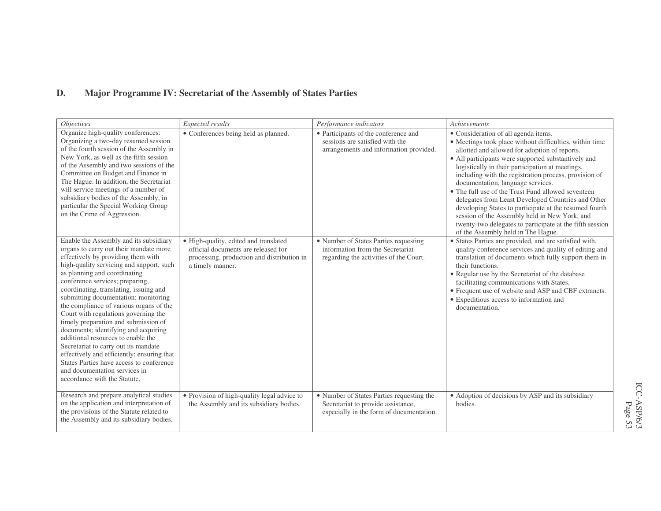### **D.Major Programme IV: Secretariat of the Assembly of States Parties**

| <i>Objectives</i>                                                                                                                                                                                                                                                                                                                                                                                                                                                                                                                                                                                                                                                                                                                   | Expected results                                                                                                                               | Performance indicators                                                                                                      | Achievements                                                                                                                                                                                                                                                                                                                                                                                                                                                                                                                                                                                                                                                                       |
|-------------------------------------------------------------------------------------------------------------------------------------------------------------------------------------------------------------------------------------------------------------------------------------------------------------------------------------------------------------------------------------------------------------------------------------------------------------------------------------------------------------------------------------------------------------------------------------------------------------------------------------------------------------------------------------------------------------------------------------|------------------------------------------------------------------------------------------------------------------------------------------------|-----------------------------------------------------------------------------------------------------------------------------|------------------------------------------------------------------------------------------------------------------------------------------------------------------------------------------------------------------------------------------------------------------------------------------------------------------------------------------------------------------------------------------------------------------------------------------------------------------------------------------------------------------------------------------------------------------------------------------------------------------------------------------------------------------------------------|
| Organize high-quality conferences:<br>Organizing a two-day resumed session<br>of the fourth session of the Assembly in<br>New York, as well as the fifth session<br>of the Assembly and two sessions of the<br>Committee on Budget and Finance in<br>The Hague. In addition, the Secretariat<br>will service meetings of a number of<br>subsidiary bodies of the Assembly, in<br>particular the Special Working Group<br>on the Crime of Aggression.                                                                                                                                                                                                                                                                                | • Conferences being held as planned.                                                                                                           | · Participants of the conference and<br>sessions are satisfied with the<br>arrangements and information provided.           | • Consideration of all agenda items.<br>• Meetings took place without difficulties, within time<br>allotted and allowed for adoption of reports.<br>• All participants were supported substantively and<br>logistically in their participation at meetings,<br>including with the registration process, provision of<br>documentation, language services.<br>• The full use of the Trust Fund allowed seventeen<br>delegates from Least Developed Countries and Other<br>developing States to participate at the resumed fourth<br>session of the Assembly held in New York, and<br>twenty-two delegates to participate at the fifth session<br>of the Assembly held in The Hague. |
| Enable the Assembly and its subsidiary<br>organs to carry out their mandate more<br>effectively by providing them with<br>high-quality servicing and support, such<br>as planning and coordinating<br>conference services; preparing,<br>coordinating, translating, issuing and<br>submitting documentation; monitoring<br>the compliance of various organs of the<br>Court with regulations governing the<br>timely preparation and submission of<br>documents; identifying and acquiring<br>additional resources to enable the<br>Secretariat to carry out its mandate<br>effectively and efficiently; ensuring that<br>States Parties have access to conference<br>and documentation services in<br>accordance with the Statute. | · High-quality, edited and translated<br>official documents are released for<br>processing, production and distribution in<br>a timely manner. | • Number of States Parties requesting<br>information from the Secretariat<br>regarding the activities of the Court.         | · States Parties are provided, and are satisfied with,<br>quality conference services and quality of editing and<br>translation of documents which fully support them in<br>their functions.<br>• Regular use by the Secretariat of the database<br>facilitating communications with States.<br>• Frequent use of website and ASP and CBF extranets.<br>• Expeditious access to information and<br>documentation.                                                                                                                                                                                                                                                                  |
| Research and prepare analytical studies<br>on the application and interpretation of<br>the provisions of the Statute related to<br>the Assembly and its subsidiary bodies.                                                                                                                                                                                                                                                                                                                                                                                                                                                                                                                                                          | • Provision of high-quality legal advice to<br>the Assembly and its subsidiary bodies.                                                         | • Number of States Parties requesting the<br>Secretariat to provide assistance,<br>especially in the form of documentation. | • Adoption of decisions by ASP and its subsidiary<br>bodies.                                                                                                                                                                                                                                                                                                                                                                                                                                                                                                                                                                                                                       |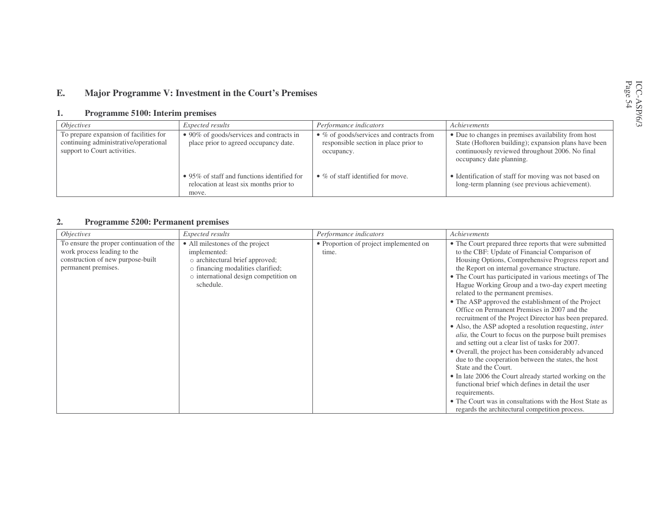#### **E.Major Programme V: Investment in the Court's Premises**

#### **1.Programme 5100: Interim premises**

| <i>Objectives</i>                                                                                               | <i>Expected results</i>                                                                         | Performance indicators                                                                                  | Achievements                                                                                                                                                                               |
|-----------------------------------------------------------------------------------------------------------------|-------------------------------------------------------------------------------------------------|---------------------------------------------------------------------------------------------------------|--------------------------------------------------------------------------------------------------------------------------------------------------------------------------------------------|
| To prepare expansion of facilities for<br>continuing administrative/operational<br>support to Court activities. | • 90% of goods/services and contracts in<br>place prior to agreed occupancy date.               | $\bullet$ % of goods/services and contracts from<br>responsible section in place prior to<br>occupancy. | • Due to changes in premises availability from host<br>State (Hoftoren building); expansion plans have been<br>continuously reviewed throughout 2006. No final<br>occupancy date planning. |
|                                                                                                                 | • 95% of staff and functions identified for<br>relocation at least six months prior to<br>move. | $\bullet$ % of staff identified for move.                                                               | • Identification of staff for moving was not based on<br>long-term planning (see previous achievement).                                                                                    |

#### **2.Programme 5200: Permanent premises**

| <i>Objectives</i>                                                                                                                   | Expected results                                                                                                                                                              | Performance indicators                          | Achievements                                                                                                                                                                                                                                                                                                                                                                                                                                                                                                                                                                                                                                                                                                                                                                                                                                                                                                                                                                                                                                                                                                    |
|-------------------------------------------------------------------------------------------------------------------------------------|-------------------------------------------------------------------------------------------------------------------------------------------------------------------------------|-------------------------------------------------|-----------------------------------------------------------------------------------------------------------------------------------------------------------------------------------------------------------------------------------------------------------------------------------------------------------------------------------------------------------------------------------------------------------------------------------------------------------------------------------------------------------------------------------------------------------------------------------------------------------------------------------------------------------------------------------------------------------------------------------------------------------------------------------------------------------------------------------------------------------------------------------------------------------------------------------------------------------------------------------------------------------------------------------------------------------------------------------------------------------------|
| To ensure the proper continuation of the<br>work process leading to the<br>construction of new purpose-built<br>permanent premises. | • All milestones of the project<br>implemented:<br>o architectural brief approved;<br>o financing modalities clarified;<br>o international design competition on<br>schedule. | • Proportion of project implemented on<br>time. | • The Court prepared three reports that were submitted<br>to the CBF: Update of Financial Comparison of<br>Housing Options, Comprehensive Progress report and<br>the Report on internal governance structure.<br>• The Court has participated in various meetings of The<br>Hague Working Group and a two-day expert meeting<br>related to the permanent premises.<br>• The ASP approved the establishment of the Project<br>Office on Permanent Premises in 2007 and the<br>recruitment of the Project Director has been prepared.<br>• Also, the ASP adopted a resolution requesting, <i>inter</i><br><i>alia</i> , the Court to focus on the purpose built premises<br>and setting out a clear list of tasks for 2007.<br>• Overall, the project has been considerably advanced<br>due to the cooperation between the states, the host<br>State and the Court.<br>• In late 2006 the Court already started working on the<br>functional brief which defines in detail the user<br>requirements.<br>• The Court was in consultations with the Host State as<br>regards the architectural competition process. |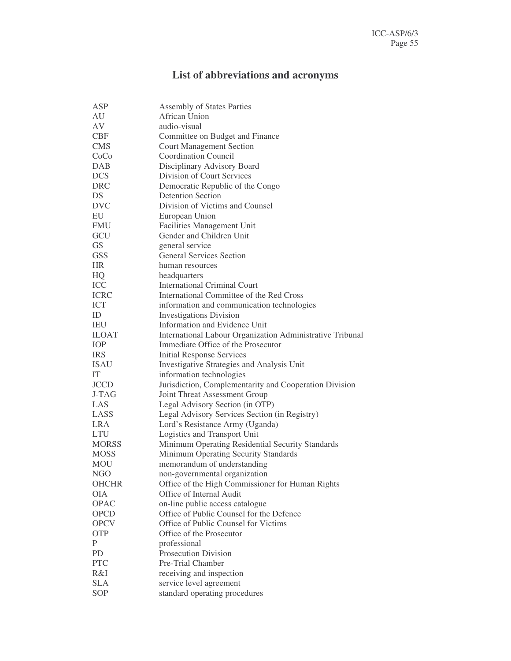# **List of abbreviations and acronyms**

| ASP          | <b>Assembly of States Parties</b>                         |
|--------------|-----------------------------------------------------------|
| AU           | African Union                                             |
| AV           | audio-visual                                              |
| <b>CBF</b>   | Committee on Budget and Finance                           |
| <b>CMS</b>   | <b>Court Management Section</b>                           |
| CoCo         | <b>Coordination Council</b>                               |
| <b>DAB</b>   | Disciplinary Advisory Board                               |
| <b>DCS</b>   | Division of Court Services                                |
| <b>DRC</b>   | Democratic Republic of the Congo                          |
| DS           | <b>Detention Section</b>                                  |
| <b>DVC</b>   | Division of Victims and Counsel                           |
| EU           | European Union                                            |
| <b>FMU</b>   | <b>Facilities Management Unit</b>                         |
| GCU          | Gender and Children Unit                                  |
| GS           | general service                                           |
| <b>GSS</b>   | <b>General Services Section</b>                           |
| <b>HR</b>    | human resources                                           |
|              |                                                           |
| HQ<br>ICC    | headquarters<br><b>International Criminal Court</b>       |
| <b>ICRC</b>  | International Committee of the Red Cross                  |
| <b>ICT</b>   |                                                           |
|              | information and communication technologies                |
| ID           | <b>Investigations Division</b>                            |
| IEU          | Information and Evidence Unit                             |
| <b>ILOAT</b> | International Labour Organization Administrative Tribunal |
| <b>IOP</b>   | Immediate Office of the Prosecutor                        |
| <b>IRS</b>   | <b>Initial Response Services</b>                          |
| <b>ISAU</b>  | Investigative Strategies and Analysis Unit                |
| IT           | information technologies                                  |
| <b>JCCD</b>  | Jurisdiction, Complementarity and Cooperation Division    |
| J-TAG        | Joint Threat Assessment Group                             |
| LAS          | Legal Advisory Section (in OTP)                           |
| LASS         | Legal Advisory Services Section (in Registry)             |
| <b>LRA</b>   | Lord's Resistance Army (Uganda)                           |
| <b>LTU</b>   | Logistics and Transport Unit                              |
| <b>MORSS</b> | Minimum Operating Residential Security Standards          |
| <b>MOSS</b>  | Minimum Operating Security Standards                      |
| <b>MOU</b>   | memorandum of understanding                               |
| NGO          | non-governmental organization                             |
| <b>OHCHR</b> | Office of the High Commissioner for Human Rights          |
| <b>OIA</b>   | Office of Internal Audit                                  |
| <b>OPAC</b>  | on-line public access catalogue                           |
| <b>OPCD</b>  | Office of Public Counsel for the Defence                  |
| <b>OPCV</b>  | Office of Public Counsel for Victims                      |
| <b>OTP</b>   | Office of the Prosecutor                                  |
| P            | professional                                              |
| PD           | <b>Prosecution Division</b>                               |
| <b>PTC</b>   | Pre-Trial Chamber                                         |
| R&I          | receiving and inspection                                  |
| <b>SLA</b>   | service level agreement                                   |
| SOP          | standard operating procedures                             |